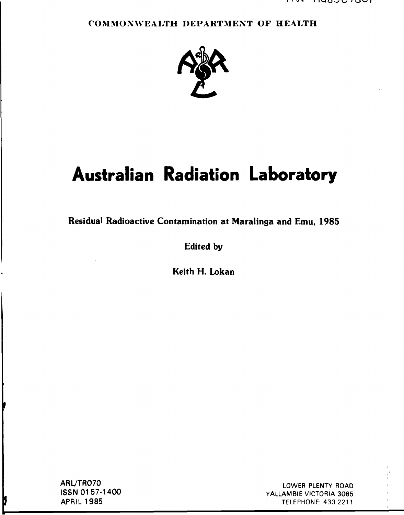## **COMMONWEALTH DEPARTMENT OF HEALTH**



# **Australian Radiation Laboratory**

**Residual Radioactive Contamination at Maralinga and Emu, 1985** 

**Edited by** 

**Keith H. Lokan** 

ARL/TR070 ISSN 01 57-1400 APRIL 1985

þ

LOWER PLENTY ROAD YALLAMBIE VICTORIA 3085 TELEPHONE: 433 2211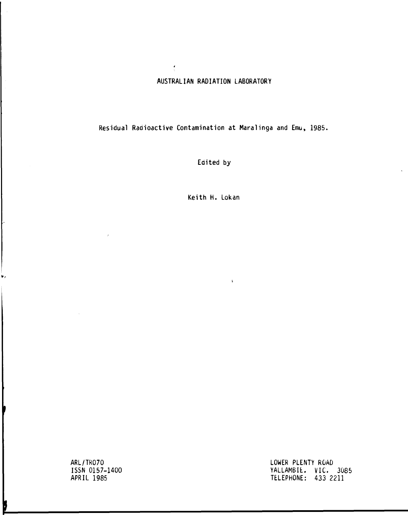## **AUSTRALIAN RADIATION LABORATORY**

 $\frac{\epsilon}{\lambda}$ 

**Residual Radioactive Contamination at Maralinga and Emu, 1985.** 

**Edited by** 

**Keith H. Lokan** 

 $\langle \cdot \rangle$ 

**ARL/TR070 ISSN 0157-1400 APRIL 1985** 

۳,

þ

**LOWER PLENTY ROAD YALLAMBIt. VIC. 3085 TELEPHONE: 433 2211**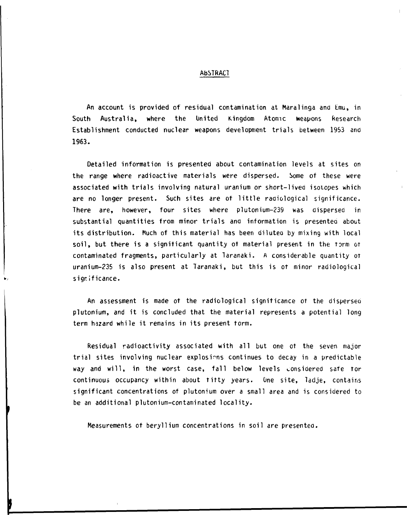#### **AbSTRACl**

**An account is provided of residual contamination at Maralinga and Emu, in South Australia, where the United Kingdom Atomic weapons Research Establishment conducted nuclear weapons development trials between 1953 and 1963.** 

**Detailed information is presented about contamination levels at sites on the range where radioactive materials were dispersed. Some of these were associated with trials involving natural uranium or short-lived isotopes which are no longer present. Such sites are of little radiological significance. There are, however, four sites where plutonium-239 was dispersed in**  substantial quantities from minor trials and information is presented about its distribution. Much of this material has been diluted by mixing with local **soil, but there is a significant quantity of material present in the form or contaminated fragments, particularly at Taranaki. A considerable quantity of uranium-235 is also present at Taranaki, but this is of minor radiological significance.** 

**An assessment is made of the radiological significance of the disperseo Plutonium, and it is concluded that the material represents a potential long term hazard while it remains in its present form.** 

**Residual radioactivity associated with all but one of the seven major trial sites involving nuclear explosions continues to decay in a predictable way and will, in the worst case, fall below levels considered safe tor continuous occupancy within about titty years. One site, Tadje, contains significant concentrations of plutonium over a small area and is considered to be an additional plutonium-contaminated locality.** 

**Measurements of beryllium concentrations in soil are presentee.**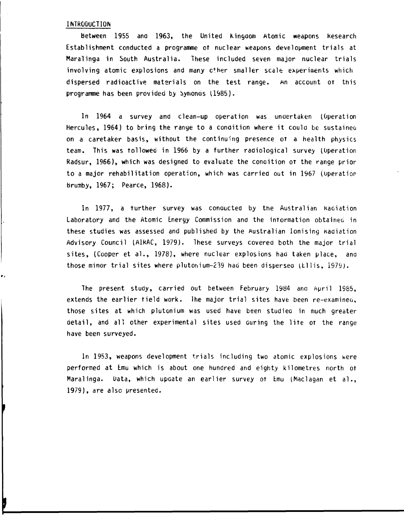#### **INTRODUCTION**

**between 1955 and 1963, the United Kingdom Atomic weapons kesearch Establishment conducted a programme ot nuclear weapons development trials at Maralinga in South Australia. These included seven major nuclear trials involving atomic explosions and many c+her smaller scale experiments which dispersed radioactive materials on the test range. An account OT this programme has been provided by bymonos 11985).** 

**In 1964 a survey and clean-up operation was undertaken (Operation Hercules, 1964) to bring the ranye to a condition where it could be sustaineo on a caretaker basis, without the continuing presence OT a health physics team. This was tollowed in 1966 by a further radiological survey (Operation**  Radsur, 1966), which was designed to evaluate the condition of the range prior **to a major rehabilitation operation, which was carried out in 1967 (operation brumby, 1967; Pearce, 1968).** 

**In 1977, a turther survey was conducted by the Australian Kaciation Laboratory and the Atomic Energy Commission and the intormation obtained in these studies was assessed and published by the Australian Ionising kadiation Advisory Council (A1RAC, 1979). These surveys covered both the major trial**  sites. (Cooper et al., 1978), where nuclear explosions had taken place, and those minor trial sites where plutonium-239 had been dispersed (Ellis, 1979).

**The present study, carried out between February 1984 ana April 1985, extends the earlier field work. Ihe major trial sites have been re-examinea, those sites at which plutonium was used have been studied in much greater detail, and all other experimental sites used during the lite OT the range have been surveyed.** 

**In 1953, weapons development trials including two atomic explosions were performed at Emu which is about one hundred and eighty kilometres north ot**  Maralinga. Data, which update an earlier survey of Emu (Maclagan et al., **1979), are also presented.**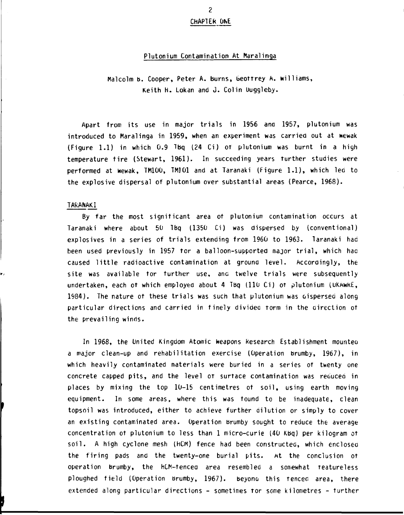## **2 CHAPTER ONE**

#### **Plutonium Contamination At Maralinga**

**Malcolm b. Cooper, Peter A. burns, beotrrey A. Williams, Keith H. Lokan and J. Colin Uuggleby.** 

**Apart from its use in major trials in 1956 ana 1957, plutonium was introduced to Maralinga in 1959, when an experiment was carried out at wewak (Figure 1.1) in which 0.9 Tbq (24 Ci) ot plutonium was burnt in a high temperature tire (Stewart, 1961). In succeeding years further studies were performed at fcewak, TM100, TM101 and at Taranaki (Figure 1.1), which lea to the explosive dispersal of plutonium over substantial areas (Pearce, 1968).** 

#### **TARANAKI**

**By far the most significant area ot plutonium contamination occurs at Taranaki where about 50 Tbq (1350 Ci) was dispersed by (conventional) explosives in a series of trials extending from 1960 to 1963. Taranaki had been used previously in 1957 tor a balloon-supported major trial, which haa caused little radioactive contamination at ground level. Accordingly, the site was available tor further use, anc twelve trials were subsequently undertaken, each ot which employed about 4 Tbq (110 Ci) ot plutonium (uKawkE, 1984). The nature ot these trials was such that plutonium was oispersed along**  particular directions and carried in finely divided torm in the direction of **the prevailing winds.** 

**In 1968, the Onited Kingdom Atomic weapons kesearch Establishment mountea a major clean-up and rehabilitation exercise (Operation brumby, 1967), in which heavily contaminated materials were buried in a series of twenty one concrete capped pits, and the level ot surface contamination was reouceo in places by mixing the top 10-15 centimetres ot soil, using earth moving equipment. In some areas, where this was found to be inadequate, clean topsoil was introduced, either to achieve further dilution or simply to cover an existing contaminated area. Operation brumby sought to reduce the average concentration ot plutonium to less than 1 micro-curie (40 Kbq) per kilogram ot soil. A high cyclone mesh (hCM) fence had been constructed, which enclosea the firing pads and the twenty-one burial pits. At the conclusion ot operation brumby, the hCM-tencea area resembled a somewhat teatureless ploughed field (Operation brumby, 1967). beyond this fenced area, there extended along particular directions - sometimes tor some kilometres - further**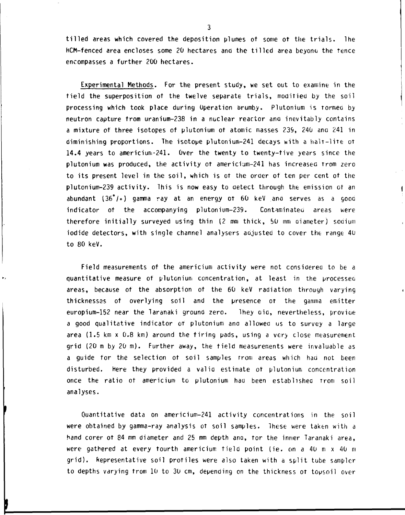tilled areas which covered the deposition plumes ot some ot the trials. The HCM-fenced area encloses some 20 hectares and the tilled area beyono the fence encompasses a further 200 hectares.

Experimental Methods. For the present study, we set out to examine in the field the superposition ot the twelve separate trials, modified by the soil processing which took place during Operation brumby. Plutonium is rormec by neutron capture from uranium-238 in a nuclear reactor ana inevitably contains a mixture of three isotopes of plutonium ot atomic masses 239, 240 ana 241 in diminishing proportions. The isotope plutonium-241 decays with a halt-lire OT 14.4 years to americium-241. Over the twenty to twenty-five years since the plutonium was produced, the activity ot americium-241 has increased from zero to its present level in the soil, which is of the order of ten per cent of the plutonium-239 activity. This is now easy to detect through the emission ot an abundant (36°/°) gamma ray at an energy ot 60 keV ana serves as a gooa indicator of the accompanying plutonium-239. Contaminated areas were therefore initially surveyed using thin (2 mm thick, 50 mm oiameter) soaiurn iodide detectors, with single channel analysers aajusted to cover the range 4U to 80 keV.

 $\mathbf{I}$ 

Field measurements of the americium activity were not considered to be a quantitative measure of plutonium concentration, at least in the processeo areas, because of the absorption ot the 60 keV radiation through varying thicknesses of overlying soil and the presence ot the gamma emitter europium-152 near the laranaki ground zero. Ihey oia, nevertheless, provioe a good qualitative indicator or plutonium ana allowed us to survey a large *area* (1.5 km x 0.8 km) around the tiring pads, using a very close measurement grid (20 m by 20 m). Further away, the field measurements were invaluable as a guide for the selection ot soil samples rrom areas which had not been disturbed. Here they provided a valid estimate ot plutonium concentration once the ratio ot americium to plutonium had been established Trom soil analyses.

Quantitative data on americium-241 activity concentrations in the soil were obtained by gamma-ray analysis ot soil samples. Ihese were taken with a hand corer ot 84 mm diameter and 25 mm depth ano, tor the inner Taranaki area, were gathered at every tourth americium field point (ie. on a 40 m x 40 m grid). Representative soil profiles were also taken with a split tube sampler to depths varying trom 10 to 30 cm, depending on the thickness of topsoil over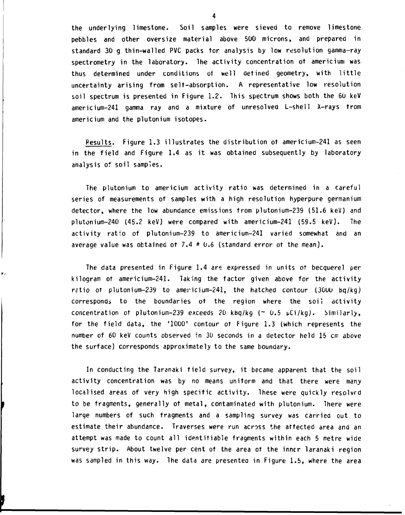**the underlying limestone. Soil samples were sieved to remove limestone pebbles and other oversize material above 500 microns, and prepared in standard 30 g thin-walled PVC packs tor analysis by low resolution gamma-ray spectrometry in the laboratory. The activity concentration of americium was thus determined under conditions of well defined geometry, with little uncertainty arising from self-absorption. A representative low resolution soil spectrum is presented in Figure 1.2. This spectrum shows both the 60 keV americium-241 gamma ray and a mixture of unresolved L-shell X-rays from americium and the plutonium isotopes.** 

**Results. Figure 1.3 illustrates the distribution of americium-241 as seen in the field and Figure 1.4 as it was obtained subsequently by laboratory analysis of soil samples.** 

**The plutonium to americium activity ratio was determined in a careful series of measurements of samples with a high resolution hyperpure germanium detector, where the low abundance emissions from plutonium-239 (51.6 keV) and plutonium-240 (45.2 keV) were compared with americium-241 (59.5 keV). The activity ratio of plutonium-239 to americium-241 varied somewhat and an average value was obtained of 7.4 ± 0.6 (standard error of the mean).** 

**The data presented in Figure 1.4 are expressed in units of becquerel per kilogram of americium-241. Taking the factor given above for the activity retio of plutonium-239 to americium-241, the hatched contour (30UO bq/kg) corresponds to the boundaries of the region where the soil activity concentration of plutonium-239 exceeds 20 kbq/kg (~ 0.5 pCi/kg). Similarly, for the field data, the '1000' contour of Figure 1.3 (which represents the number of 60 keV counts observed in 30 seconds in a detector held 15 cm above the surface) corresponds approximately to the same boundary.** 

v,

**In conducting the Taranaki field survey, it became apparent that the soil activity concentration was by no means uniform and that there were many**  localised areas of very high specific activity. These were quickly resolved **to be fragments, generally of metal, contaminated with plutonium. There were large numbers of such fragments and a sampling survey was carried out to estimate their abundance. Traverses were run across the affected area ana an attempt was made to count all identifiable fragments within each 5 metre wide survey strip. About twelve per cent of the area of the inner laranaki region was sampled in this way. The data are presentee in Figure 1.5, where the area**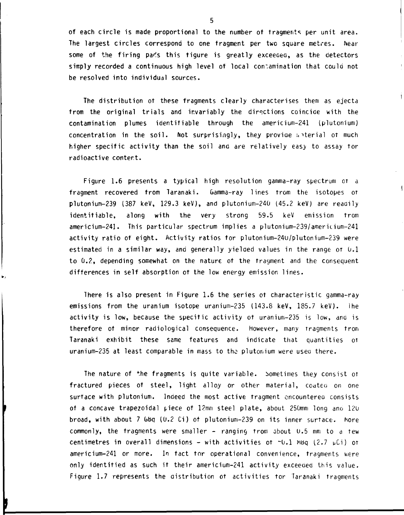**of each circle is made proportional to the number ot fragments per unit area. The largest circles correspond to one fragment per two square metres. Near**  some of the firing par's this tigure is greatly exceeded, as the detectors **simply recorded a continuous high level of local contamination that could not be resolved into individual sources.** 

**The distribution ot these fragments clearly characterises them as ejecta from the original trials and invariably the directions coincide with the contamination plumes identifiable through the americium-241 (plutonium) concentration in the soil. Not surprisingly, they proviae :. ^terial ot much**  higher specific activity than the soil and are relatively easy to assay tor **radioactive content.** 

**Figure 1.6 presents a typical high resolution gamma-ray spectrum or a fragment recovered from Taranaki. Gamma-ray lines from the isotopes OT plutonium-239 (387 keV, 129.3 keV), and plutonium-240 (45.2 keV) are readily identifiable, along with the very strong 59.5 keV emission from americium-241. This particular spectrum implies a plutonium-239/ameritium-241 activity ratio of eight. Activity ratios for plutonium-24u/plutonium-239 were estimated in a similar way, and generally yielded values in the range OT 0.1 to 0.2, depending somewhat on the nature of the fragment and the consequent differences in self absorption ot the low energy emission lines.** 

 $\overline{\mathbf{1}}$ 

**There is also present in Figure 1.6 the series ot characteristic gamma-ray emissions from the uranium isotope uranium-235 (143.8 keV, 185.7 keV). Ihe activity is low, because the specific activity ot uranium-235 is low, and is therefore ot minor radiological consequence, however, many Tragments from Taranaki exhibit these same features and indicate that quantities OT uranium-235 at least comparable in mass to the plutonium were used there.** 

**The nature of the fragments is quite variable, bometimes they consist ot fractured pieces of steel, light alloy or other material, coatea on one surface with plutonium. Indeed the most active fragment encountered consists ot a concave trapezoidal piece ot 12mm steel plate, about 250mm long ano 120**  broad, with about 7 GBq (0.2 Ci) of plutonium-239 on its inner surtace. More **commonly, the tragments were smaller - ranging from about 0.5 mm to a tew**  centimetres in overall dimensions - with activities ot  $\sim$  0.1 Mbq (2.7 pCi) or **americium-241 or more. In tact tor operational convenience, Tragments were only identified as such it their americium-241 activity exceeded this value. Figure 1.7 represents the distribution ot activities tor Taranaki fragments**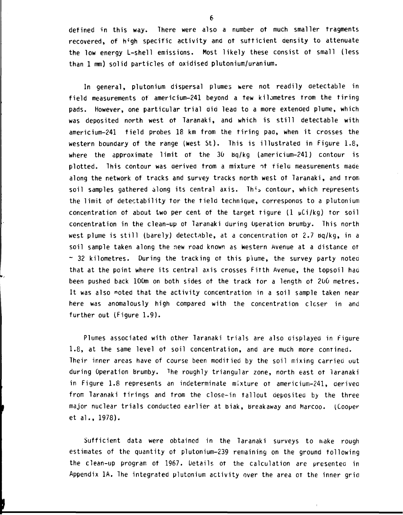**defined in this way. There were also a number of much smaller fragments**  recovered, of high specific activity and of sufficient density to attenuate **the low energy L-shell emissions. Most likely these consist ot small (less than 1 mm) solid particles of oxidised plutonium/uranium.** 

**In general, plutonium dispersal plumes were not readily detectable in field measurements of americium-241 beyond a few kilometres from the tiring pads. However, one particular trial aid lead to a more extended plume, which was deposited north west ot Taranaki, and which is still detectable with americium-241 field probes 18 km from the tiring pad, when it crosses the western boundary of the range (west St). This is illustrated in Figure 1.8, where the approximate limit of the 30 bq/kg (americium-241) contour is plotted. This contour was derived from a mixture •it field measurements made along the network of tracks and survey tracks north west ot Taranaki, and Trom**  soil samples gathered along its central axis. This contour, which represents **the limit of detectability tor the field technique, corresponds to a plutonium concentration ot about two per cent of the target Tigure (1 pCi/kg) tor soil concentration in the clean-up ot Taranaki during Operation brumby. This north west plume is still (barely) detectable, at a concentration ot 2.7 bq/kg, in a soil sample taken along the new road known as western Avenue at a distance ot ~ 32 kilometres. During the tracking ot this plume, the survey party notea that at the point where its central axis crosses Fitth Avenue, the topsoil haa been pushed back 100m on both sides ot the track for a length ot 200 metres. It was also noted that the activity concentration in a soil sample taken near**  here was anomalously high compared with the concentration closer in and **further out (Figure 1.9).** 

**Plumes associated with other Taranaki trials are also displayed in figure 1.8, at the same level ot soil concentration, and are much more contined. Their inner areas have of course been modified by the soil mixing carried out during Operation brumby. The roughly triangular zone, north east ot laranaki in Figure 1.8 represents an indeterminate mixture ot americium-241, derived from Taranaki firings and from the close-in fallout deposited by the three major nuclear trials conducted earlier at biak, breakaway and harcoo. (Cooper et al., 1978).** 

**Sufficient data were obtained in the Taranaki surveys to make rough estimates of the quantity ot plutonium-239 remaining on the ground following the clean-up program of 1967. Details ot the calculation are presented in Appendix 1A. The integrated plutonium activity over the area of the inner grid**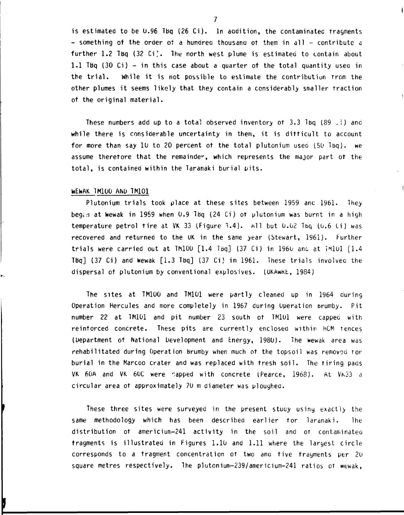is estimated to be  $0.96$  TBq (26 Ci). In addition, the contaminated tragments  $-$  something of the order of a hundred thousand of them in all  $-$  contribute a further 1.2 Tbq (32 Ci). The north west plume is estimated to contain about 1.1 Tbq (30 Ci) - in this case about a quarter of the total quantity usea in the trial. While it is not possible to estimate the contribution from the other plumes it seems likely that they contain a considerably smaller Traction of the original material.

These numbers add up to a total observed inventory of 3.3 Ibq  $(89 - i)$  and while there is considerable uncertainty in them, it is difficult to account for more than say 10 to 20 percent ot the total plutonium useo (50 Ibq). we assume therefore that the remainder, which represents the major part ot the total, is contained within the Taranaki burial pits.

#### WEWAK TM100 AND TM101

Plutonium trials took place at these sites between 1959 anc 1961. They began at Wewak in 1959 when  $0.9$  TBq (24 Ci) ot plutonium was burnt in a high temperature petrol tire at VK 33 (Figure 3.4). All but  $0.02$  Tbq  $(0.6 \text{ Ci})$  was recovered and returned to the UK in the same year (Stewart, 1961). further trials were carried out at  $TM100$   $[1.4$   $T\omega$ <sup>3</sup> (37 Ci) in  $1960$  and at  $TM101$   $[1.4$ TBq] (37 Ci) and Wewak [1.3 Tbq] (37 Ci) in 1961. These trials involvea the dispersal of plutonium by conventional explosives. (OKAwkt, 1984)

The sites at TM100 and TM101 were partly cleaned up in 1964 during Operation Hercules and more completely in 1967 during Operation Brumby. Pit number 22 at TM101 and pit number 23 south of TM101 were capped with reinforced concrete. These pits are currently enclosed within hCM fences (Department of National Development and Energy, 1980). The wewak area was rehabilitated during Operation brumby when much of the topsoil was removed for burial in the Marcoo crater and was replaced with fresh soil. The firing pacis VK 60A and VK 60C were rapped with concrete (Pearce, 1968). At VK33 a circular area ot approximately 70 m diameter was ploughea.

These three sites were surveyed in the present stuay using exactly the same methodology which has been described earlier tor laranaki. lhe distribution ot americium-241 activity in the soil and or contaminated tragments is illustrated in Figures 1.10 and 1.11 where the largest circle corresponds to a fragment concentration ot two ana five fragments per 20 square metres respectively. The plutonium-239/americium-241 ratios of wewak,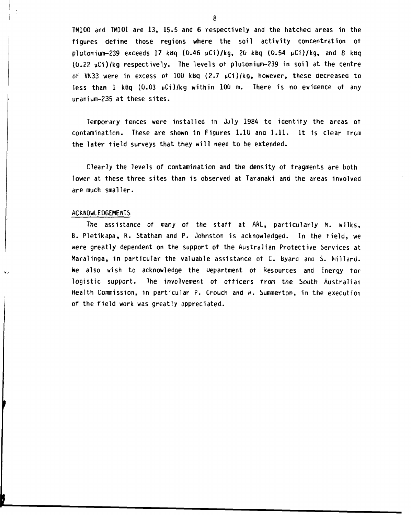**TM100 and TM101 are 13, 15.5 and 6 respectively and the hatched areas in the figures define those regions where the soil activity concentration ot plutonium-239 exceeds 17 kbq (0.46 pCi)/kg, 20 kbq (0.54 i»Ci)/kg, and 8 kbq (0.22 pCi)/kg respectively. The levels ot plutonium-239 in soil at the centre of VK33 were in excess of 100 kbq (2.7 uCi)/kg, however, these aecreasea to less than 1 kbq (0.03 yCi)/kg within 100 m. There is no evidence of any uranium-235 at these sites.** 

Temporary fences were installed in July 1984 to identify the areas of **contamination. These are shown in Figures 1.10 ana 1.11. It is clear trcm the later tield surveys that they will need to be extended.** 

**Clearly the levels of contamination and the density ot fragments are both lower at these three sites than is observed at Taranaki and the areas involved are much smaller.** 

## **ACKNOWLEDGEMENTS**

**The assistance ot many of the staff at ARL, particularly M. wilks, B. Pletikapa, R. Statham and P. Johnston is acknowledgeo. In the field, we were greatly dependent on the support of the Australian Protective Services at Maralinga, in particular the valuable assistance of C. byard ana S. hillard. We also wish to acknowledge the Department ot Resources and Energy for logistic support. The involvement ot officers trom the South Australian Health Commission, in particular P. Crouch and A. Summerton, in the execution of the field work was greatly appreciated.**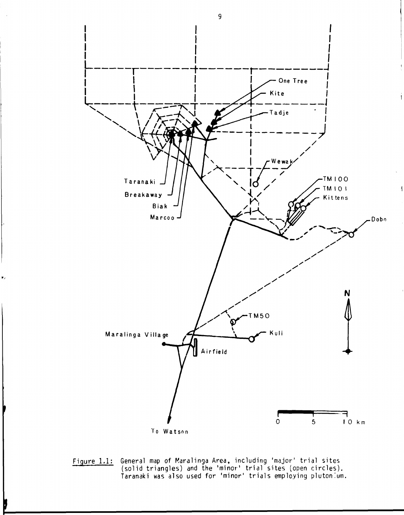

**Figure 1.1: General map of Maralinga Area, including 'major' trial sites (solid triangles) and the 'minor' trial sites (open circles). Taranaki was also used for 'minor' trials employing plutonium.** 

 $\overline{9}$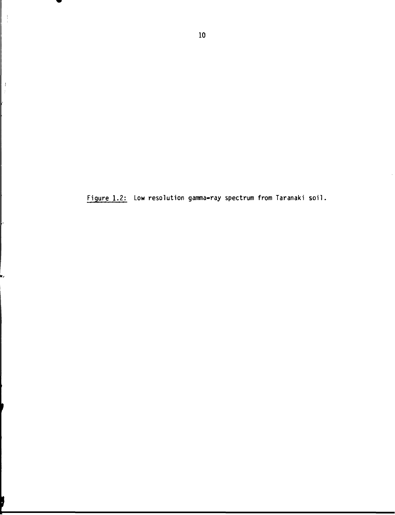**Figure 1.2: Low resolution gamma-ray spectrum from Taranaki soil.** 

 $\mathbf{r}_\ell$ 

 $\begin{array}{c} 1 \\ 1 \\ 2 \end{array}$ 

 $\,$   $\,$ ÿ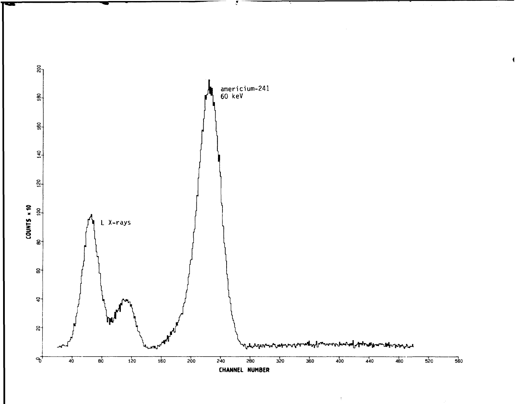

 $\hat{\gamma}$ 

्र

 $\sim$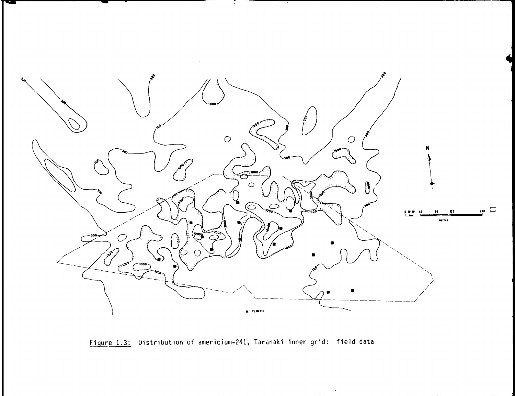

Figure 1.3: Distribution of americium-241, Taranaki inner grid: field data

 $\epsilon$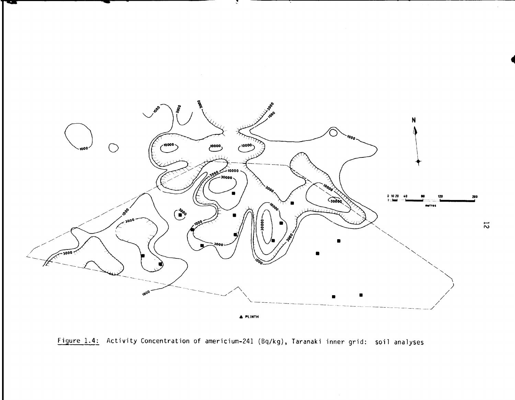



 $\overline{c}$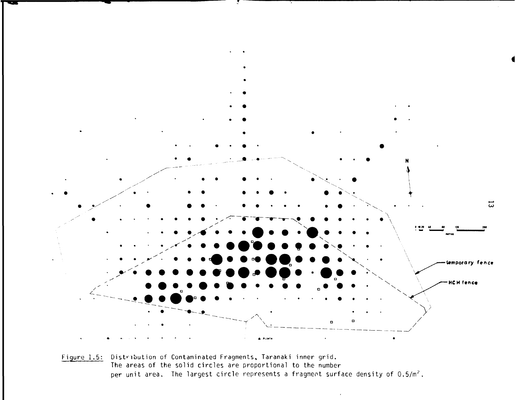

Figure 1.5: Distribution of Contaminated Fragments, Taranaki inner grid. The areas of the solid circles are proportional to the number per unit area. The largest circle represents a fragment surface density of  $0.5/m^2$ .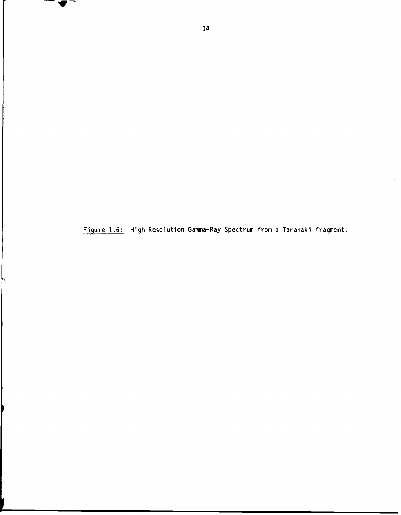**Figure 1.6: High Resolution Gamma-Ray Spectrum from a Taranaki fragment.** 

 $\blacklozenge$   $\lnot$ 

 $\overline{\phantom{a}}$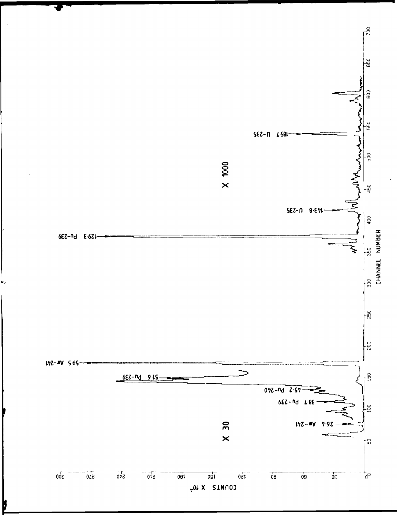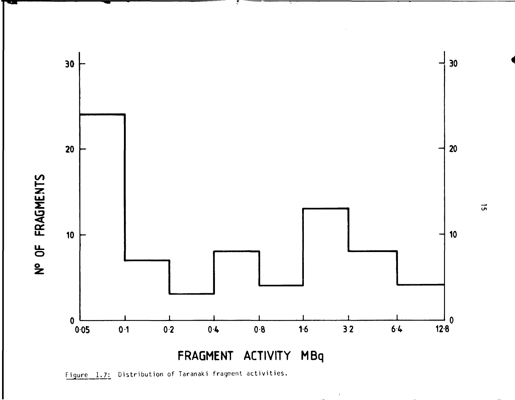

 $\bar{V}$ 

Figure 1.7: Distribution of Taranaki fragment activities.

**O l**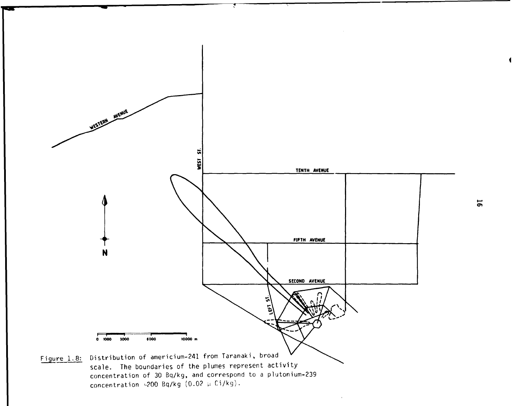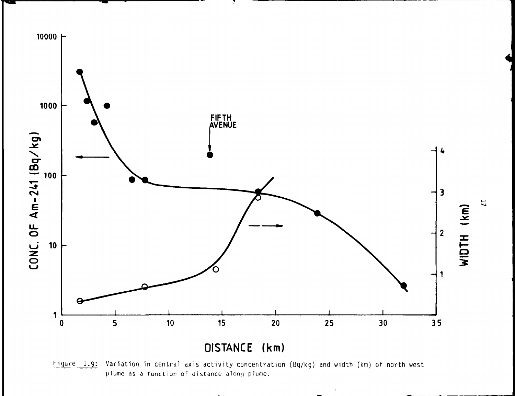

l

Figure 1.9: Variation in central axis activity concentration (Bq/kg) and width (km) of north west plume as a function of distance along plume.

 $\overline{1}$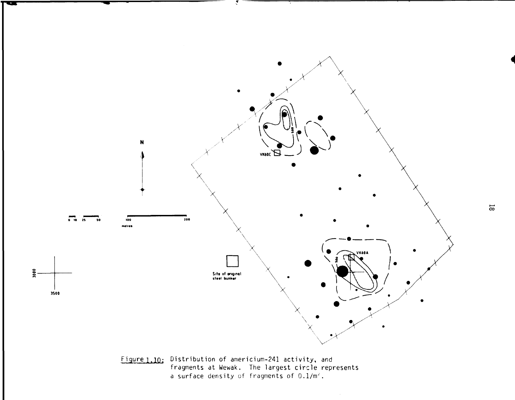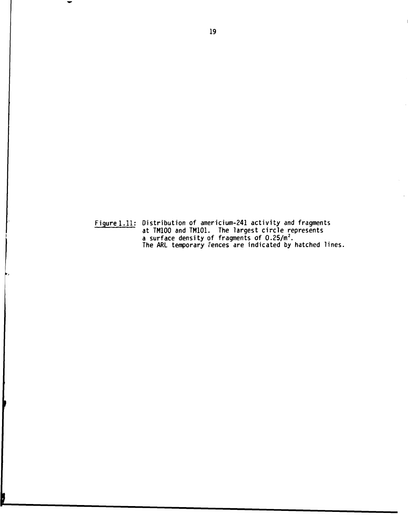**Figure 1.11; Distribution of americium-241 activity and fragments at TM100 and TM101. The largest circle represents a surface density of fragments of 0.25/m<sup>2</sup>. The ARL temporary fences are indicated by hatched lines.** 

b,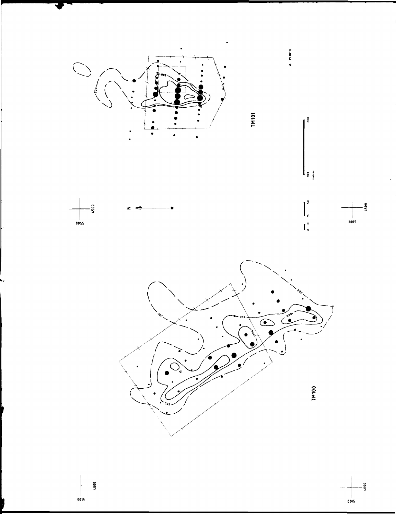

**0055** 

 $-5000$  $\frac{1}{0005}$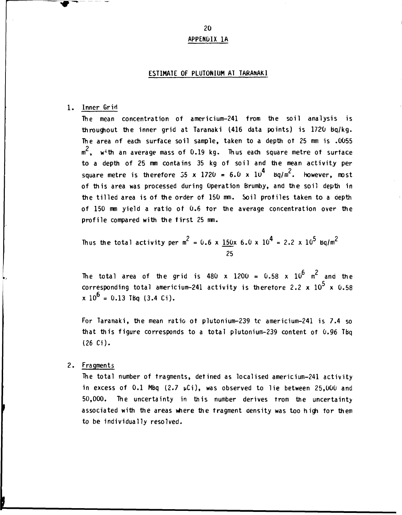**APPENDIX 1A** 

## **ESTIMATE OF PLUTONIUM AT TARANAKI**

#### 1. Inner Grid

The mean concentration of americium-241 from the soil analysis is throughout the inner grid at Taranaki 1416 data points) is 1720 bq/kg. The area of each surface soil sample, taken to a depth of 25 mm is .0055  $m<sup>2</sup>$ , with an average mass of 0.19 kg. Thus each square metre of surface to a depth of 25 mm contains 35 kg of soil and the mean activity per square metre is therefore 35 x 1720 =  $6.0 \times 10^4$  bq/m<sup>2</sup>. However, most of this area was processed during Operation Brumby, and the soil depth in the tilled area is of the order of 150 mm. Soil profiles taken to a depth of 150 mm yield a ratio of 0.6 tor the average concentration over the profile compared with the first 25 mm.

Thus the total activity per m<sup>2</sup> = 0.6 x 
$$
\frac{150x}{25}
$$
 6.0 x 10<sup>4</sup> = 2.2 x 10<sup>5</sup> sq/m<sup>2</sup>

The total area of the grid is 480 x  $1200 = 0.58$  x  $10^6$  m<sup>c</sup> and the 5 corresponding total americium-241 activity is therefore 2.2  $\times$  10 $^{\circ}$   $\times$  0.58  $x 10^{\circ} = 0.13$  TBq (3.4 Ci).

For Taranaki, the mean ratio of plutonium-239 tc americium-241 is 7.4 so that this figure corresponds to a total plutonium-239 content of 0.96 Tbq (26 Ci).

## 2. Fragments

The total number of fragments, defined as localised americium-241 activity in excess of 0.1 Mbq (2.7  $\mu$ Ci), was observed to lie between 25,000 and 50,000. The uncertainty in this number derives from the uncertainty associated with the areas where the fragment density was too high for them to be individually resolved.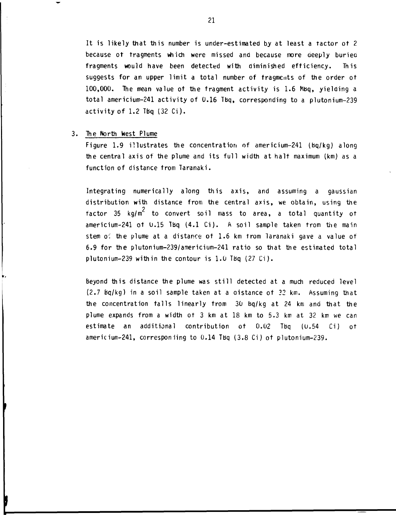It is likely that this number is under-estimated by at least a tactor of 2 because of fragments which were missed and because more oeeply buriea fragments would have been detected with diminished efficiency. This suggests for an upper limit a total number of fragments of the order of  $100,000$ . The mean value of the fragment activity is 1.6 Mbg, yielding a total americium-241 activity of  $0.16$  TBq, corresponding to a plutonium-239 activity of  $1.2$  TBq  $(32 \text{ Ci})$ .

#### 3. The North West Plume

Figure 1.9 illustrates the concentration of americium-241 (bq/kg) along the central axis of the plume and its full width at half maximum (km) as a function of distance from Taranaki.

Integrating numerically along this axis, and assuming a gaussian distribution with distance from the central axis, we obtain, using the 2 factor 35 kg/m<sup>r</sup> to convert soil mass to area, a total quantity of americium-241 of  $0.15$  Tbq  $(4.1 \tC)$ . A soil sample taken from the main stem *o'.* the plume at a distance of 1.6 km from laranaki gave a value of 6.9 for the plutonium-239/americium-241 ratio so that the estimated total plutonium-239 within the contour is 1.0 Tbq (27 Ci).

Beyond this distance the plume was still detected at a much reduced level  $(2.7 \text{ Bq/kg})$  in a soil sample taken at a oistance of  $32 \text{ km}$ . Assuming that the concentration falls linearly from  $30$  bg/kg at 24 km and that the plume expands from a width of 3 km at 18 km to 5.3 km at 32 km we can estimate an additional contribution of 0.02 Tbq (0.54 Ci) of americium-241, corresponiing to 0.14 Tbq (3.8 Ci) of plutonium-239.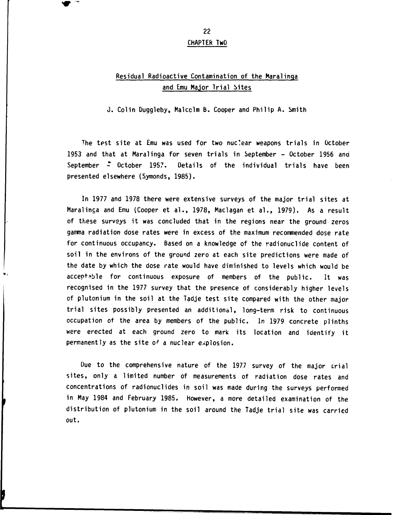**CHAPTER TwO** 

## **Residual Radioactive Contamination of the Maralinga and Emu Major Trial Sites**

**J. Colin Duggleby, Malcclm B. Cooper and Philip A. Smith** 

**The test site at Emu was used for two nuclear weapons trials in October 1953 and that at Maralinga for seven trials in September - October 1956 ana**  September  $\stackrel{*}{\sim}$  October 1957. Details of the individual trials have been **presented elsewhere (Symonds, 1985).** 

**In 1977 and 1978 there were extensive surveys of the major trial sites at Maralinga and Emu (Cooper et al., 1978, Maclagan et al., 1979). As a result of these surveys it was concluded that in the regions near the ground zeros gamma radiation dose rates were in excess of the maximum recommended dose rate for continuous occupancy. Based on a knowledge of the radionuclide content of soil in the environs of the ground zero at each site predictions were made of the date by which the dose rate would have diminished to levels which would be acceptable for continuous exposure of members of the public. It was recognised in the 1977 survey that the presence of considerably higher levels of plutonium in the soil at the Tadje test site compared with the other major trial sites possibly presented an additional, long-term risk to continuous occupation of the area by members of the public. In 1979 concrete plinths were erected at each ground zero to mark its location and identify it permanently as the site o' a nuclear explosion.** 

**Due to the comprehensive nature of the 1977 survey of the major crial sites, only a limited number of measurements of radiation dose rates and concentrations of radionuclides in soil was made during the surveys performed in May 1984 and February 1985. However, a more detailed examination of the distribution of plutonium in the soil around the Tadje trial site was carried out.**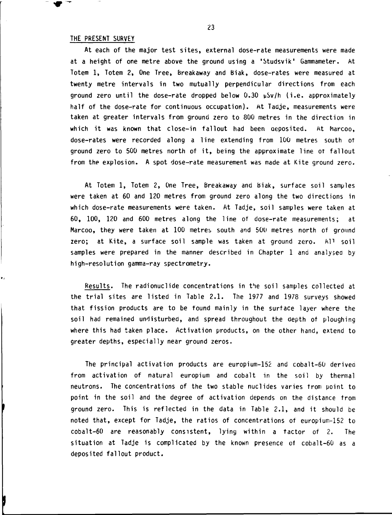#### **THE PRESENT SURVEY**

**At each of the major test sites, external dose-rate measurements were made at a height of one metre above the ground using a 'Studsvik' Gammameter. At Totem 1, Totem 2, One Tree, Breakaway and Biak, dose-rates were measured at twenty metre intervals in two mutually perpendicular directions from each ground zero until the dose-rate dropped below 0.30 uSv/h (i.e. approximately half of the dose-rate for continuous occupation). At Tadje, measurements were taken at greater intervals from ground zero to 800 metres in the direction in**  which it was known that close-in fallout had been aeposited. At Marcoo, **dose-rates were recorded along a line extending from 100 metres south ot ground zero to 500 metres north of it, being the approximate line ot fallout from the explosion. A spot dose-rate measurement was made at Kite ground zero.** 

**At Totem 1, Totem 2, One Tree, Breakaway and biak, surface soil samples were taken at 60 and 120 metres from ground zero along the two directions in which dose-rate measurements were taken. At Tadje, soil samples were taken at 60, 100, 120 and 600 metres along the line of dose-rate measurements; at Marcoo, they were taken at 100 metres south and 500 metres north of ground zero; at Kite, a surface soil sample was taken at ground zero. All soil samples were prepared in the manner described in Chapter 1 and analysed by high-resolution gamma-ray spectrometry.** 

**Results. The radionuclide concentrations in the soil samples collected at the trial sites are listed in Table 2.1. The 1977 and 1978 surveys showed that fission products are to be found mainly in the surface layer where the soil had remained undisturbed, and spread throughout the depth ot ploughing where this had taken place. Activation products, on the other hand, extend to greater depths, especially near ground zeros.** 

**The principal activation products are europium-152 and cobalt-60 derived from activation of natural europium and cobalt in the soil by thermal neutrons. The concentrations of the two stable nuclides varies from point to point in the soil and the degree of activation depends on the distance from ground zero. This is reflected in the data in Table 2.1, and it should be noted that, except for Tadje, the ratios of concentrations of europium-152 to cobalt-60 are reasonably consistent, lying within a factor of 2. The situation at Tadje is complicated by the known presence ot coba1t-60 as a deposited fallout product.**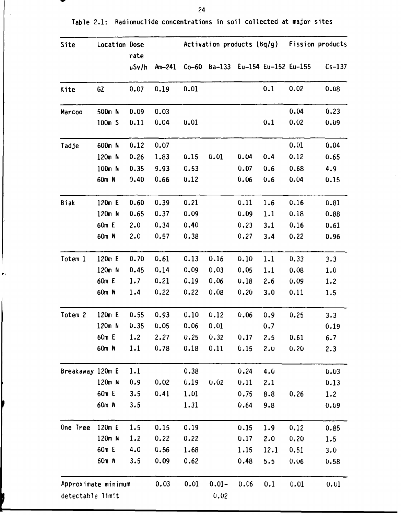| Site                | Location Dose<br>rate |       |          |      | Activation products (bq/g)        |      |      | <b>Fission products</b> |          |
|---------------------|-----------------------|-------|----------|------|-----------------------------------|------|------|-------------------------|----------|
|                     |                       | µSv/h | $Am-241$ |      | Co-60 Ba-133 Eu-154 Eu-152 Eu-155 |      |      |                         | $Cs-137$ |
| Kite                | GZ                    | 0.07  | 0.19     | 0.01 |                                   |      | 0.1  | 0.02                    | 0.08     |
| Marcoo              | 500m N                | 0.09  | 0.03     |      |                                   |      |      | 0.04                    | 0.23     |
|                     | 100m S                | 0.11  | 0.04     | 0.01 |                                   |      | 0.1  | 0.02                    | 0.09     |
| Tadje               | 600m N                | 0.12  | 0.07     |      |                                   |      |      | 0.01                    | 0.04     |
|                     | 120m N                | 0.26  | 1.83     | 0.15 | 0.01                              | 0.04 | 0.4  | 0.12                    | 0.65     |
|                     | 100m N                | 0.35  | 9.93     | 0.53 |                                   | 0.07 | 0.6  | 0.68                    | 4.9      |
|                     | 60m N                 | 0.40  | 0.66     | 0.12 |                                   | 0.06 | 0.6  | 0.04                    | 0.15     |
| <b>Biak</b>         | 120m E                | 0.60  | 0.39     | 0.21 |                                   | 0.11 | 1.6  | 0.16                    | 0.81     |
|                     | 120m N                | 0.65  | 0.37     | 0.09 |                                   | 0.09 | 1.1  | 0.18                    | 0.88     |
|                     | 60m E                 | 2.0   | 0.34     | 0.40 |                                   | 0.23 | 3.1  | 0.16                    | 0.61     |
|                     | 60m N                 | 2.0   | 0.57     | 0.38 |                                   | 0.27 | 3.4  | 0.22                    | 0.96     |
| Totem 1             | 120m E                | 0.70  | 0.61     | 0.13 | 0.16                              | 0.10 | 1.1  | 0.33                    | 3.3      |
|                     | 120m N                | 0.45  | 0.14     | 0.09 | 0.03                              | 0.05 | 1.1  | 0.08                    | 1.0      |
|                     | 60m E                 | 1.7   | 0.21     | 0.19 | 0.06                              | 0.18 | 2.6  | 0.09                    | 1.2      |
|                     | 60m N                 | 1.4   | 0.22     | 0.22 | 0.08                              | 0.20 | 3.0  | 0.11                    | 1.5      |
| Totem 2             | 120m E                | 0.55  | 0.93     | 0.10 | 0.12                              | 0.06 | 0.9  | 0.25                    | 3.3      |
|                     | 120m N                | 0.35  | 0.05     | 0.06 | 0.01                              |      | 0.7  |                         | 0.19     |
|                     | 60m E                 | 1.2   | 2.27     | 0.25 | 0.32                              | 0.17 | 2.5  | 0.61                    | 6.7      |
|                     | 60m N                 | 1.1   | 0.78     | 0.18 | 0.11                              | 0.15 | 2.0  | 0.20                    | 2.3      |
| Breakaway 120m E    |                       | 1.1   |          | 0.38 |                                   | 0.24 | 4.0  |                         | 0.03     |
|                     | $120m$ N              | 0.9   | 0.02     | 0.19 | 0.02                              | 0.11 | 2.1  |                         | 0.13     |
|                     | 60m E                 | 3.5   | 0.41     | 1.01 |                                   | 0.75 | 8.8  | 0.26                    | 1.2      |
|                     | 60m N                 | 3.5   |          | 1.31 |                                   | 0.64 | 9.8  |                         | 0.09     |
| One Tree            | 120m E                | 1.5   | 0.15     | 0.19 |                                   | 0.15 | 1.9  | 0.12                    | 0.85     |
|                     | 120m N                | 1.2   | 0.22     | 0.22 |                                   | 0.17 | 2.0  | 0.20                    | 1.5      |
|                     | 60m E                 | 4.0   | 0.56     | 1.68 |                                   | 1.15 | 12.1 | 0.51                    | 3.0      |
|                     | 60m N                 | 3.5   | 0.09     | 0.62 |                                   | 0.48 | 5.5  | 0.06                    | 0.58     |
| Approximate minimum |                       |       | 0.03     | 0.01 | $0.01 -$                          | 0.06 | 0.1  | 0.01                    | 0.01     |
| detectable limit    |                       |       |          |      | 0.02                              |      |      |                         |          |

 $\dot{\mathbf{r}}_t$ 

ł

**Table 2.1: Radionuclide concentrations in soil collected at major sites**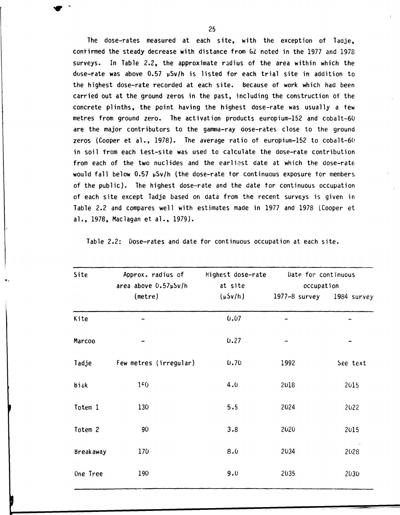The dose-rates measured at each site, with the exception of Taaje, confirmed the steady decrease with distance from GZ noted in the 1977 and 1978 surveys. In Table 2.2, the approximate radius of the area within which the dose-rate was above 0.57 vSv/h is listed for each trial site in addition to the highest dose-rate recorded at each site, because of work which had been carried out at the ground zeros in the past, including the construction of the concrete plinths, the point having the highest dose-rate was usually a few metres from ground zero. The activation products europium-152 and cobalt-60 are the major contributors to the gamma-ray dose-rates close to the ground zeros (Cooper et al., 1978). The average ratio of europium-152 to cobalt-60 in soil from each test-site was used to calculate the dose-rate contribution from each of the two nuclides and the earliest date at which the dose-rate would fall below  $0.57$   $\mu$ Sv/h (the dose-rate tor continuous exposure tor members of the public). The highest dose-rate and the date tor continuous occupation of each site except Tadje based on data from the recent surveys is given in Table 2.2 and compares well with estimates made in 1977 and 1978 (Cooper et al., 1978, Maclagan et al., 1979).

| Site             | Approx. radius of<br>area above 0.57µSv/h | Highest dose-rate<br>at site | Date for continuous<br>occupation |          |
|------------------|-------------------------------------------|------------------------------|-----------------------------------|----------|
|                  | (metre)                                   | $(\mu Sv/h)$                 | 1977-8 survey 1984 survey         |          |
| Kite             |                                           | 0.07                         |                                   |          |
| Marcoo           |                                           | 0.27                         |                                   |          |
| Tadje            | Few metres (irregular)                    | 0.70                         | 1992                              | See text |
| <b>Biak</b>      | 150                                       | 4.0                          | 2018                              | 2015     |
| Totem 1          | 130                                       | 5.5                          | 2024                              | 2022     |
| Totem 2          | 90                                        | 3.8                          | 2020                              | 2015     |
| <b>Breakaway</b> | 170                                       | 8.0                          | 2034                              | 2028     |
| One Tree         | 190                                       | 9.0                          | 2035                              | 2030     |

Table 2.2: Dose-rates and date for continuous occupation at each site.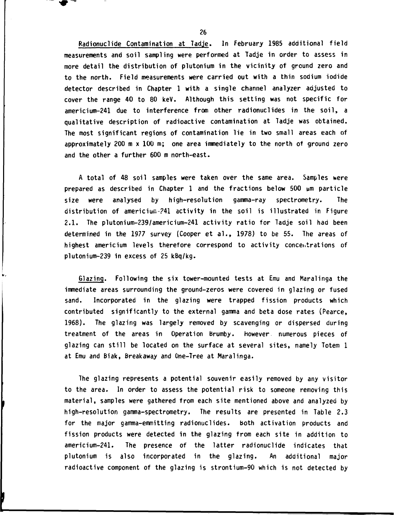**Radionuclide Contamination at Tadje. In February 1985 additional field measurements and soil sampling were performed at Tadje in order to assess in more detail the distribution of plutonium in the vicinity of ground zero and to the north. Field measurements were carried out with a thin sodium iodide detector described in Chapter 1 with a single channel analyzer adjusted to cover the range 40 to 80 keV. Although this setting was not specific for americium-241 due to interference from other radionuclides in the soil, a qualitative description of radioactive contamination at Tadje was obtained. The most significant regions of contamination lie in two small areas each of approximately 200 m x 100 m; one area immediately to the north of ground zero and the other a further 600 m north-east.** 

**A total of 48 soil samples were taken over the same area. Samples were prepared as described in Chapter 1 and the fractions below 500 um particle size were analysed by high-resolution gamma-ray spectrometry. The distribution of americiuir.-?41 activity in the soil is illustrated in Figure 2.1. The plutonium-239/americium-241 activity ratio for Tadje soil had been determined in the 1977 survey (Cooper et al., 1978) to be 55. The areas of highest americium levels therefore correspond to activity concentrations of plutonium-239 in excess of 25 kBq/kg.** 

**Glazing. Following the six tower-mounted tests at Emu and Maralinga the immediate areas surrounding the ground-zeros were covered in glazing or fused sand. Incorporated in the glazing were trapped fission products which contributed significantly to the external gamma and beta dose rates (Pearce, 1968). The glazing was largely removed by scavenging or dispersed during treatment of the areas in Operation Brumby, however numerous pieces of glazing can still be located on the surface at several sites, namely Totem 1 at Emu and Biak, Breakaway and One-Tree at Maralinga.** 

**The glazing represents a potential souvenir easily removed by any visitor to the area. In order to assess the potential risk to someone removing this material, samples were gathered from each site mentioned above and analyzed by high-resolution gamma-spectrometry. The results are presented in Table 2.3 for the major gamma-emmitting radionuclides, both activation products and fission products were detected in the glazing from each site in addition to americium-241. The presence of the latter radionuclide indicates that plutonium is also incorporated in the glazing. An additional major radioactive component of the glazing is strontium-90 which is not detected by** 

**26** 

**« \* ^**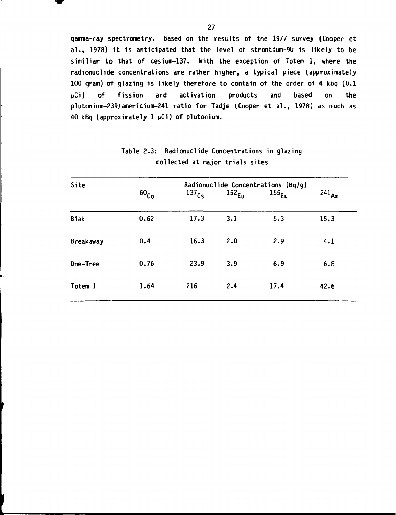**gamma-ray spectrometry. Based on the results of the 1977 survey (Cooper et al., 1978) it is anticipated that the level of strontium-90 is likely to be similiar to that of cesium-137. With the exception of Totem 1, where the radionuclide concentrations are rather higher, a typical piece (approximately 100 gram) of glazing is likely therefore to contain of the order of 4 kbq (0.1 wCi) of fission and activation products and based on the plutonium-239/americium-241 ratio for Tadje (Cooper et al., 1978) as much as 40 kBq (approximately 1 uCi) of plutonium.** 

| Site             | Radionuclide Concentrations (Bq/g) |                   |                   |                   |            |
|------------------|------------------------------------|-------------------|-------------------|-------------------|------------|
|                  | 60 <sub>Co</sub>                   | 137 <sub>Cs</sub> | 152 <sub>Eu</sub> | 155 <sub>Eu</sub> | $241_{Am}$ |
| <b>Biak</b>      | 0.62                               | 17.3              | 3.1               | 5.3               | 15.3       |
| <b>Breakaway</b> | 0.4                                | 16.3              | 2.0               | 2.9               | 4.1        |
| One-Tree         | 0.76                               | 23.9              | 3.9               | 6.9               | 6.8        |
| Totem I          | 1.64                               | 216               | 2.4               | 17.4              | 42.6       |

**Table 2.3: Radionuclide Concentrations in glazing collected at major trials sites**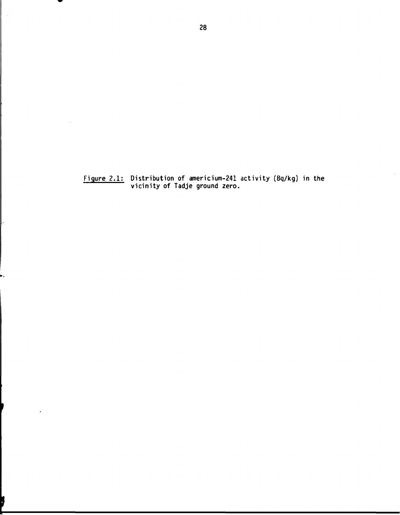**Figure 2.1: Distribution of americium-241 activity (Bq/kg) in the vicinity of Tadje ground zero.** 

 $\overline{\phantom{a}}$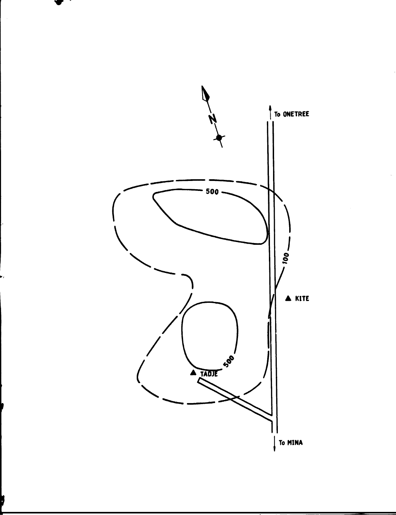

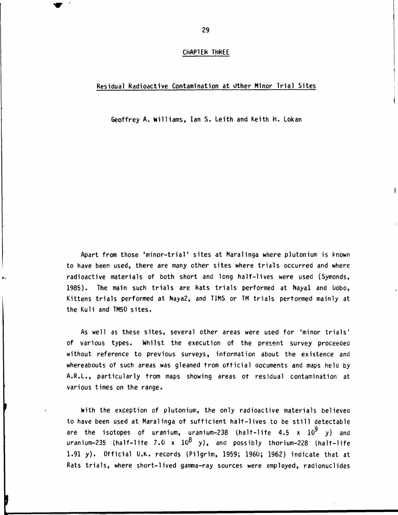#### **CHAPTER THREE**

#### **Residual Radioactive Contamination at Other Minor Trial Sites**

**Geoffrey A. Williams, Ian S. Leith and Keith H. Lokan** 

**Apart from those 'minor-trial' sites at Maralinga where plutonium is known to have been used, there are many other sites where trials occurred and where radioactive materials of both short and long half-lives were used (Symonds, 1985). The main such trials are Rats trials performed at Nayal and uobo, Kittens trials performed at Naya2, and TIMS or TM trials performed mainly at the Kuli and TM50 sites.** 

**As well as these sites, several other areas were used for 'minor trials' of various types. Whilst the execution of the present survey proceeded without reference to previous surveys, information about the existence and whereabouts of such areas was gleaned from official documents and maps held by A.R.L., particularly from maps showing areas of residual contamination at various times on the range.** 

**With the exception of plutonium, the only radioactive materials believea to have been used at Maralinga of sufficient halt-lives to be still detectable**  are the isotopes of uranium, uranium-238 (halt-life  $4.5 \times 10^9$  y) and uranium-235 (half-life 7.0 x 10<sup>8</sup> y), and possibly thorium-228 (halt-life **1.91 y) . Official U.K. records (Pilgrim, 1959; 1960; 1962) indicate that at Rats trials, where short-lived gamma-ray sources were employed, radionuclides**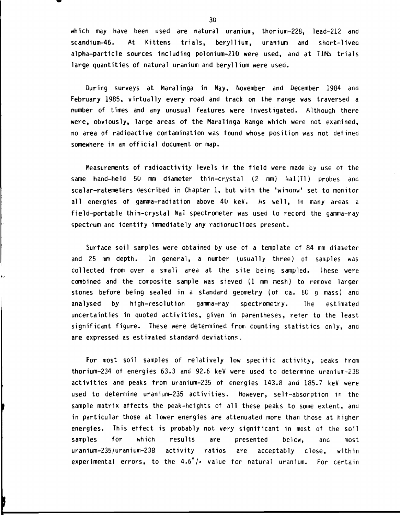**which may have been used are natural uranium, thorium-228, lead-212 and scandium-46. At Kittens trials, beryllium, uranium and short-livea alpha-particle sources including polonium-210 were used, and at TIMb trials large quantities of natural uranium and beryllium were used.** 

**During surveys at Maralinga in May, November and December 1984 and February 1985, virtually every road and track on the range was traversed a number of times and any unusual features were investigated. Although there were, obviously, large areas of the Maralinga Range which were not examined, no area of radioactive contamination was found whose position was not defined somewhere in an official document or map.** 

**Measurements of radioactivity levels in the field were made by use ot the same hand-held 50 mm diameter thin-crystal (2 mm) Nal(Tl) probes ana scalar-ratemeters described in Chapter 1, but with the 'winaow' set to monitor all energies of gamma-radiation above 40 keV. As well, in many areas a field-portable thin-crystal Nal spectrometer was used to record the gamma-ray spectrum and identify immediately any radionuclides present.** 

**Surface soil samples were obtained by use of a template of 84 mm diameter and 25 mm depth. In general, a number (usually three) ot samples was collected from over a small area at the site being sampled. These were combined and the composite sample was sieved (1 mm mesh) to remove larger stones before being sealed in a standard geometry (of ca. 60 g mass) ana analysed by high-resolution gamma-ray spectrometry. The estimated uncertainties in quoted activities, given in parentheses, reter to the least significant figure. These were determined from counting statistics only, and are expressed as estimated standard deviations.** 

**For most soil samples of relatively low specific activity, peaks from thorium-234 ot energies 63.3 and 92.6 keV were used to determine uranium-238 activities and peaks from uranium-235 of energies 143.8 and 185.7 keV were used to determine uranium-235 activities, however, self-absorption in the sample matrix affects the peak-heights of all these peaks to some extent, ana in particular those at lower energies are attenuated more than those at higher energies. This effect is probably not very significant in most ot the soil samples for which results are presented below, ana most uranium-235/uranium-238 activity ratios are acceptably close, within experimental errors, to the 4.6°/o value for natural uranium. For certain**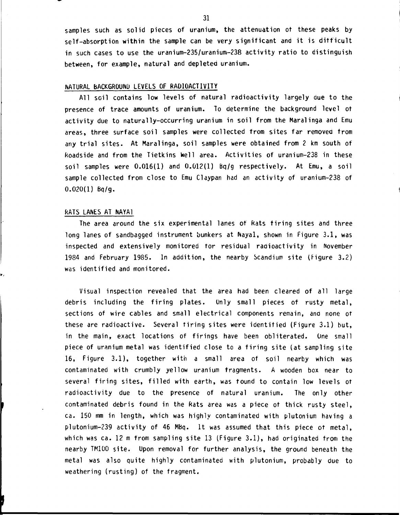**samples such as solid pieces of uranium, the attenuation ot these peaks by self-absorption within the sample can be very significant and it is difficult in such cases to use the uranium-235/uranium-238 activity ratio to distinguish between, for example, natural and depleted uranium.** 

## **NATURAL BACKGROUND LEVELS OF RADIOACTIVITY**

**All soil contains low levels of natural radioactivity largely aue to the presence of trace amounts of uranium. To determine the background level ot activity due to naturally-occurring uranium in soil from the Maralinga and Emu areas, three surface soil samples were collected from sites far removed from any trial sites. At Maralinga, soil samples were obtained from 2 km south of Roadside and from the Tietkins Well area. Activities of uranium-238 in these soil samples were 0.016(1) and 0.012(1) Bq/g respectively. At Emu, a soil sample collected from close to Emu Claypan had an activity of uranium-238 of 0.020(1) Bq/g.** 

#### **RATS LANES AT NAYA1**

**The area around the six experimental lanes of Rats tiring sites and three long lanes of sandbagged instrument bunkers at Nayal, shown in Figure 3.1, was inspected and extensively monitored tor residual raaioactivity in November 1984 and February 1985. In addition, the nearby Scandium site (Figure 3.2) was identified and monitored.** 

**Visual inspection revealed that the area had been cleared of all large debris including the firing plates. Only small pieces of rusty metal,**  sections of wire cables and small electrical components remain, and none of **these are radioactive. Several firing sites were identified (Figure 3.1) but, in the main, exact locations of firings have been obliterated. One small piece of uranium metal was identified close to a firing site (at sampling site 16, Figure 3.1), together with a small area of soil nearby which was contaminated with crumbly yellow uranium fragments. A wooden box near to several firing sites, filled with earth, was found to contain low levels ot radioactivity due to the presence of natural uranium. The only other contaminated debris found in the Rats area was a piece ot thick rusty steel, ca. 150 mm in length, which was highly contaminated with plutonium having a plutonium-239 activity of 46 Mbq. It was assumed that this piece ot metal, which was ca. 12 m from sampling site 13 (Figure 3.1), had originated from the nearby TM100 site. Upon removal for further analysis, the ground beneath the metal was also quite highly contaminated with plutonium, probably due to weathering (rusting) of the fragment.**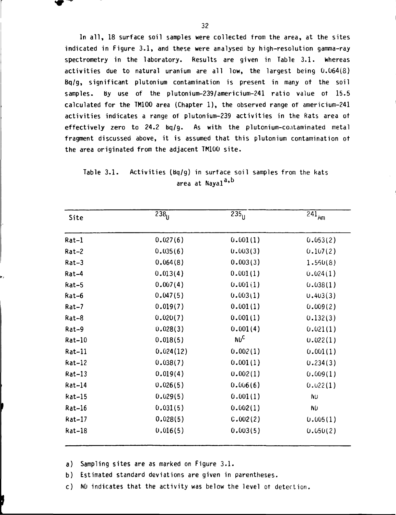In all, 18 surface soil samples were collected from the area, at the sites indicated in Figure 3.1, and these were analysed by high-resolution gamma-ray spectrometry in the laboratory. Results are given in Table 3.1. Whereas activities due to natural uranium are all low, the largest being 0.064(8) Bq/g, significant plutonium contamination is present in many of the soil samples. By use of the plutonium-239/americium-241 ratio value ot 15.5 calculated for the TM100 area (Chapter 1), the observed range of americium-241 activities indicates a range of plutonium-239 activities in the Rats area ot effectively zero to 24.2 bq/g. As with the plutonium-contaminated metal fragment discussed above, it is assumed that this plutonium contamination ot the area originated from the adjacent TM100 site.

## Table 3.1. Activities (bq/g) in surface soil samples from the kats area at Nayal<sup>a,b</sup>

| Site     | $238_{U}$ | $\overline{235}$ | $\overline{241}_{Am}$ |
|----------|-----------|------------------|-----------------------|
| $Rat-1$  | 0.027(6)  | 0.001(1)         | 0.053(2)              |
| $Rat-2$  | 0.035(6)  | 0.003(3)         | 0.107(2)              |
| $Rat-3$  | 0.064(8)  | 0.003(3)         | 1.550(8)              |
| Rat-4    | 0.013(4)  | 0.001(1)         | 0.024(1)              |
| Rat-5    | 0.007(4)  | 0.001(1)         | 0.038(1)              |
| Rat-6    | 0.047(5)  | 0.003(1)         | 0.403(3)              |
| $Rat-7$  | 0.019(7)  | 0.001(1)         | 0.009(2)              |
| Rat-8    | 0.020(7)  | 0.001(1)         | 0.132(3)              |
| Rat-9    | 0.028(3)  | 0.001(4)         | 0.021(1)              |
| Rat-10   | 0.018(5)  | <b>NUC</b>       | 0.022(1)              |
| $Rat-11$ | 0.024(12) | 0.002(1)         | 0.001(1)              |
| $Rat-12$ | 0.038(7)  | 0.001(1)         | 0.234(3)              |
| $Rat-13$ | 0.019(4)  | 0.002(1)         | 0.009(1)              |
| $Rat-14$ | 0.026(5)  | 0.006(6)         | 0.022(1)              |
| kat-15   | 0.029(5)  | 0.001(1)         | <b>ND</b>             |
| $Rat-16$ | 0.031(5)  | 0.002(1)         | <b>ND</b>             |
| Rat-17   | 0.028(5)  | C.002(2)         | 0.005(1)              |
| Rat-18   | 0.016(5)  | 0.003(5)         | 0.050(2)              |

a) Sampling sites are as marked on Figure 3.1.

b) Estimated standard deviations are given in parentheses.

c) NO indicates that the activity was below the level ot detection.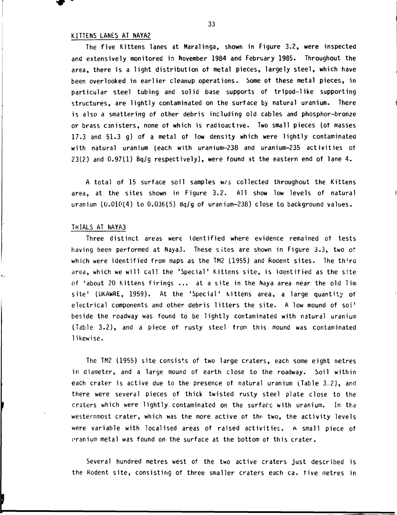#### **KITTENS LANES AT NAYA2**

**The five Kittens lanes at Maralinga, shown in Figure 3.2, were inspected and extensively monitored in November 1984 and February 1985. Throughout the area, there is a light distribution of metal pieces, largely steel, which have been overlooked in earlier cleanup operations. Some of these metal pieces, in particular steel tubing and solid base supports of tripod-like supporting structures, are lightly contaminated on the surface by natural uranium. There is also a smattering of other debris including old cables and phosphor-bronze or brass canisters, none of which is radioactive. Two small pieces (of masses 17.3 and 51.3 g) of a metal of low density which were lightly contaminated with natural uranium (each with uranium-238 and uranium-235 activities of 23(2) and 0.97(1) Bq/g respectively), were found at the eastern end of lane 4.** 

**A total of 15 surface soil samples wrs collected throughout the Kittens area, at the sites shown in Figure 3.2. All show low levels of natural uranium (0.010(4) to 0.036(5) Bq/g of uranium-238) close to background values.** 

#### **TRIALS AT NAYA3**

**Three distinct areas were identified where evidence remained of tests having been performed at Naya3. These sites are shown in Figure 3.3, two of which were identified from maps as the TM2 (1955) and Rodent sites. The third area, which we will call the 'Special' Kittens site, is identified as the site of 'about 20 Kittens firings ... at a site in the Naya area near the old Tim site' (OKAwRE, 1959). At the 'Special' Kittens area, a large quantity of electrical components and other debris litters the site. A low mound of soi<sup>1</sup> beside the roadway was found to be lightly contaminated with natural uranium (Table 3.2), and a piece of rusty steel from this mound was contaminated likewise.** 

**The TM2 (1955) site consists of two large craters, each some eight metres in diameter, and a large mound of earth close to the roadway. Soil within each crater is active due to the presence of natural uranium (Table 3.2), and there were several pieces of thick twisted rusty steel plate close to the craters which were lightly contaminated on the surface with uranium. In the westernmost crater, which was the more active of the two, the activity levels were variable with localised areas of raised activities, A small piece of t'ranium metal was found on the surface at the bottom of this crater.** 

**Several hundred metres west of the two active craters just described is the Rodent site, consisting of three smaller craters each ca. five metres in**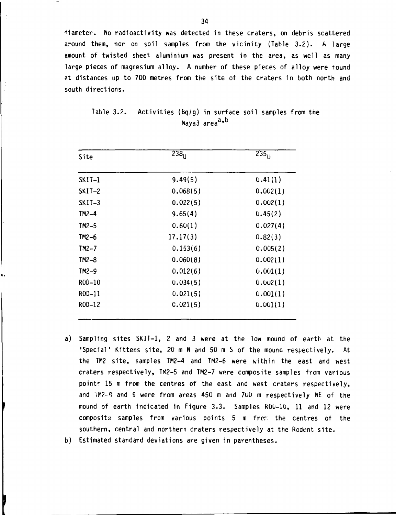**diameter. No radioactivity was detected in these craters, on debris scattered around them, nor on soil samples from the vicinity (Table 3.2). A large amount of twisted sheet aluminium was present in the area, as well as many large pieces of magnesium alloy. A number of these pieces of alloy were found at distances up to 700 metres from the site of the craters in both north and south directions.** 

| Site     | 238 <sub>H</sub> | $\overline{235}_{11}$ |
|----------|------------------|-----------------------|
| SKIT-1   | 9.49(5)          | 0.41(1)               |
| $SKIT-2$ | 0.068(5)         | 0.002(1)              |
| $SKII-3$ | 0.022(5)         | 0.002(1)              |
| TM2-4    | 9.65(4)          | 0.45(2)               |
| $TM2-5$  | 0.60(1)          | 0.027(4)              |
| $TM2-6$  | 17.17(3)         | 0.82(3)               |
| $TM2-7$  | 0.153(6)         | 0.005(2)              |
| $TM2-8$  | 0.060(8)         | 0.002(1)              |
| $TM2-9$  | 0.012(6)         | 0.001(1)              |
| ROD-10   | 0.034(5)         | 0.002(1)              |
| ROD-11   | 0.021(5)         | 0.001(1)              |
| ROD-12   | 0.021(5)         | 0.001(1)              |

**Table 3.2. Activities (bq/g) in surface soil samples from the Naya3 area<sup>a</sup> '** 

- **a) Sampling sites SKIT-1, 2 and 3 were at the low mound of earth at the 'Special' Kittens site, 20 m N and 50 m S of the mound respectively. At the TM2 site, samples TM2-4 and TM2-6 were within the east and west craters respectively, TM2-5 and TM2-7 were composite samples from various point' 15 m from the centres of the east and west craters respectively, and 1M2-8 and 9 were from areas 450 m and 700 m respectively NE of the mound of earth indicated in Figure 3.3. Samples ROO-10, 11 and 12 were composite samples from various points 5 m frer. the centres ot the southern, central and northern craters respectively at the Rodent site.**
- **b) Estimated standard deviations are given in parentheses.**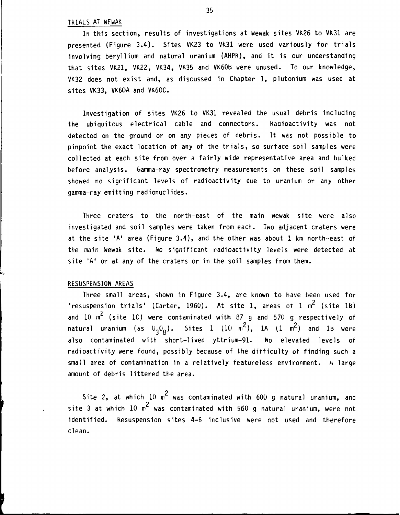#### **TRIALS AT WEwAK**

**In this section, results of investigations at wewak sites VK26 to VK31 are presented (Figure 3.4). Sites VK23 to VK31 were used variously for trials involving beryllium and natural uranium (AHPR), and it is our understanding that sites VK21, VK22, VK34, VK35 and VK60B were unused. To our knowledge, VK32 does not exist and, as discussed in Chapter 1, plutonium was used at sites VK33, VK60A and VK60C.** 

**Investigation of sites VK26 to VK31 revealed the usual debris including the ubiquitous electrical cable and connectors. kadioactivity was not detected on the ground or on any pieces of debris. It was not possible to pinpoint the exact location of any of the trials, so surface soil samples were collected at each site from over a fairly wide representative area and bulked before analysis. Gamma-ray spectrometry measurements on these soil samples showed no significant levels of radioactivity due to uranium or any other gamma-ray emitting radionuclides.** 

**Three craters to the north-east of the main wewak site were also investigated and soil samples were taken from each. Two adjacent craters were at the site 'A' area (Figure 3.4), and the other was about 1 km north-east of the main wewak site. No significant radioactivity levels were detected at site 'A' or at any of the craters or in the soil samples from them.** 

#### **RESUSPENSION AREAS**

**Three small areas, shown in Figure 3.4, are known to have been used tor**  'resuspension trials' (Carter, 1960). At site 1, areas ot 1 m<sup>2</sup> (site 1b) **2 and 10 m (site 1C) were contaminated with 87 g and 570 g respectively of**  <code>natural uranium (as U<sub>3</sub>O<sub>8</sub>). Sites 1 (10 m<sup>2</sup>), 1A (1 m<sup>2</sup>) and 1B were</code> **also contaminated with short-lived yttrium-91. No elevated levels of radioactivity were found, possibly because of the difficulty of finding such a small area of contamination in a relatively featureless environment. A large amount of debris littered the area.** 

**2 Site 2, at which 10 m was contaminated with 600 g natural uranium, and 2 site 3 at which 10 m was contaminated with 560 g natural uranium, were not identified. Resuspension sites 4-6 inclusive were not used and therefore clean.**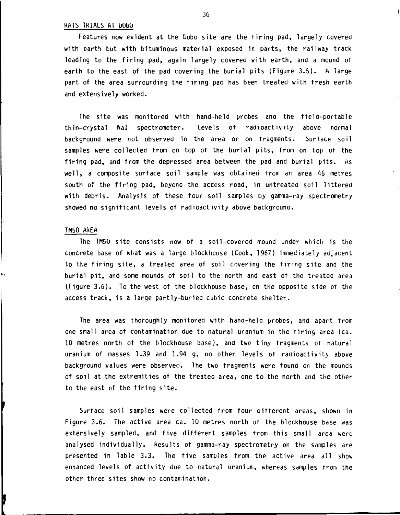#### **RATS TRIALS AT DObU**

Features now evident at the Dobo site are the tiring pad, largely covered **with earth but with bituminous material exposed in parts, the railway track leading to the firing pad, again largely covered with earth, and a mound of earth to the east of the pad covering the burial pits (Figure 3.5). A large part of the area surrounding the firing pad has been treated with fresh earth and extensively worked.** 

**The site was monitored with hand-held probes ana the tiela-portable thin-crystal Nal spectrometer. Levels of radioactivity above normal background were not observed in the area or on fragments. Surface soil samples were collected from on top of the burial pits, from on top of the firing pad, and from the depressed area between the pad and burial pits. As well, a composite surface soil sample was obtained trom an area 46 metres south of the firing pad, beyond the access road, in untreated soil littered with debris. Analysis of these four soil samples by gamma-ray spectrometry showed no significant levels of radioactivity above background.** 

#### **TM50 AREA**

**The TM50 site consists now of a soil-covered mound under which is the concrete base of what was a large blockhouse (Cook, 1967) immediately aajacent to the firing site, a treated area of soil covering the firing site and the burial pit, and some mounds of soil to the north and east of the treatea area (Figure 3.6). To the west of the blockhouse base, on the opposite side of the access track, is a large partly-buried cubic concrete shelter.** 

**The area was thoroughly monitored with hand-hela probes, and apart trom one small area of contamination due to natural uranium in the Tiring area (ca. 10 metres north of the blockhouse base), and two tiny fragments OT natural uranium ot masses 1.39 and 1.94 g, no other levels ot radioactivity above background values were observed, lhe two fragments were found on the mounds of soil at the extremities of the treated area, one to the north and the other to the east of the firing site.** 

**Surface soil samples were collected from four oitterent areas, shown in Figure 3.6. The active area ca. 10 metres north ot the blockhouse base was extersively sampled, and five different samples trom this small area were analysed individually. Results ot gamma-ray spectrometry on the samples are presented in Table 3.3. The five samples trom the active area all show enhanced levels of activity due to natural uranium, whereas samples from the other three sites show no contamination.**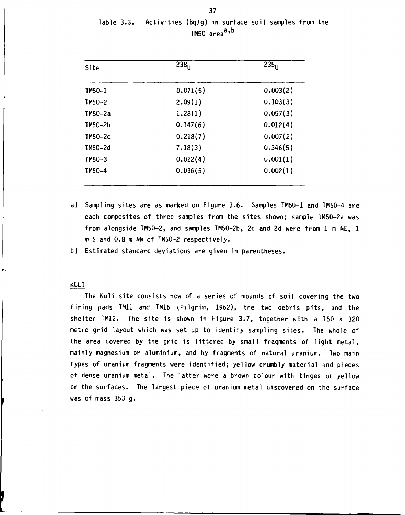| Site      | $\overline{2}38_{\text{L}}$ | 235 <sub>11</sub> |  |
|-----------|-----------------------------|-------------------|--|
| $IM50-1$  | 0.071(5)                    | 0.003(2)          |  |
| $TM50-2$  | 2.09(1)                     | 0.103(3)          |  |
| TM50-2a   | 1.28(1)                     | 0.057(3)          |  |
| TM50-2b   | 0.147(6)                    | 0.012(4)          |  |
| $IM50-2c$ | 0.218(7)                    | 0.007(2)          |  |
| TM50-2d   | 7.18(3)                     | 0.346(5)          |  |
| TM50-3    | 0.022(4)                    | 0.001(1)          |  |
| TM50-4    | 0.036(5)                    | 0.002(1)          |  |

Table 3.3. Activities (Bq/g) in surface soil samples from the  $1M50$  area<sup> $35$ </sup>

- a) Sampling sites are as marked on Figure 3.6. Samples TM50-1 and TM50-4 are each composites of three samples from the sites shown; sample lM50-2a was from alongside TM50-2, and samples TM50-2b, 2c and 2d were from 1 m NE, 1 m S and 0.8 m Nw of TM50-2 respectively.
- b) Estimated standard deviations are given in parentheses.

#### KULI

The Kuli site consists now of a series of mounds of soil covering the two firing pads TM11 and TM16 (Pilgrim, 1962), the two debris pits, and the shelter TM12. The site is shown in Figure 3.7, together with a 150  $\times$  320 metre grid layout which was set up to identity sampling sites. The whole of the area covered by the grid is littered by small fragments of light metal, mainly magnesium or aluminium, and by fragments of natural uranium. Two main types of uranium fragments were identified; yellow crumbly material and pieces of dense uranium metal. The latter were a brown colour with tinges of yellow on the surfaces. The largest piece of uranium metal discovered on the surface was of mass 353 g.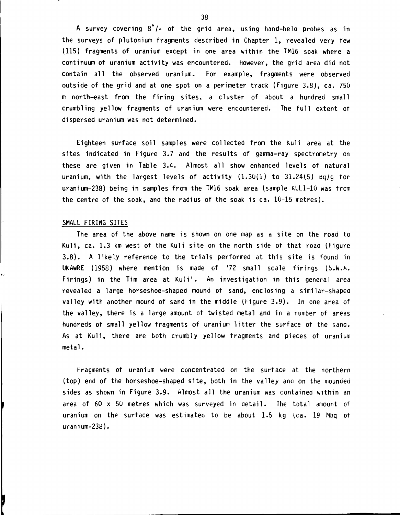**A survey covering 8°/» of the grid area, using hand-hela probes as in the surveys of piutonium fragments described in Chapter 1, revealed** *\/ery* **few (115) fragments of uranium except in one area within the TM16 soak where a continuum of uranium activity was encountered, however, the grid area did not contain all the observed uranium. For example, fragments were observed outside of the grid and at one spot on a perimeter track (Figure 3.8), ca. 750 m north-east from the firing sites, a cluster of about a hundred small crumbling yellow fragments of uranium were encountered. The full extent of dispersed uranium was not determined.** 

**Eighteen surface soil samples were collected from the Kuli area at the sites indicated in Figure 3.7 and the results of gamma-ray spectrometry on these are given in Table 3.4. Almost all show enhanced levels of natural uranium, with the largest levels of activity (1.30(1) to 31.24(5) bq/g for uranium-238) being in samples from the TM16 soak area (sample KULl-10 was from the centre of the soak, and the radius of the soak is ca. 10-15 metres).** 

#### **SMALL FIRING SITES**

**The area of the above name is shown on one map as a site on the road to Kuli, ca. 1.3 km west of the Kuli site on the north side of that roaa (Figure 3.8). A likely reference to the trials performed at this site is found in UKAWRE (1958) where mention is made of '72 small scale firings (S.w.A. Firings) in the Tim area at Kuli \*. An investigation in this general area revealed a large horseshoe-shaped mound of sand, enclosing a similar-shaped valley with another mound of sand in the middle (Figure 3.9). In one area of**  the valley, there is a large amount of twisted metal and in a number of areas **hundreds of small yellow fragments of uranium litter the surface of the sand. As at Kuli, there are both crumbly yellow fragments and pieces of uranium metal.** 

**Fragments of uranium were concentrated on the surface at the northern (top) end of the horseshoe-shaped site, both in the valley and on the mounaea sides as shown in Figure 3.9. Almost all the uranium was contained within an area of 60 x 50 metres which was surveyed in detail. The total amount of uranium on the surface was estimated to be about 1.5 kg lea. 19 Nibq of uranium-238).**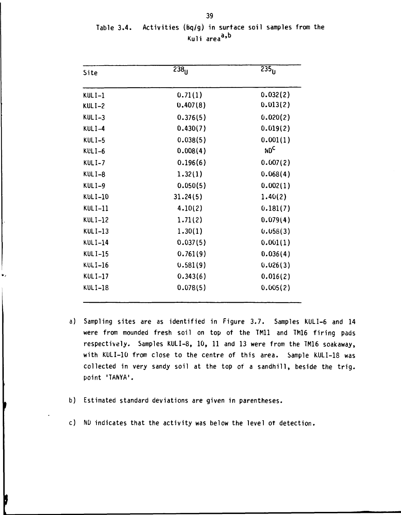| Site           | $238_{\text{H}}$ | $\overline{235}_{\text{H}}$ |  |
|----------------|------------------|-----------------------------|--|
| $KULI-1$       | 0.71(1)          | 0.032(2)                    |  |
| $KULI-2$       | 0.407(8)         | 0.013(2)                    |  |
| $KULI-3$       | 0.376(5)         | 0.020(2)                    |  |
| KULI-4         | 0.430(7)         | 0.019(2)                    |  |
| $KULI-5$       | 0.038(5)         | 0.001(1)                    |  |
| $KULI-6$       | 0.008(4)         | NDC                         |  |
| $KULI-7$       | 0.196(6)         | 0.007(2)                    |  |
| KULI-8         | 1.32(1)          | 0.068(4)                    |  |
| KULI-9         | 0.050(5)         | 0.002(1)                    |  |
| $KULI-10$      | 31.24(5)         | 1.40(2)                     |  |
| $KULI-11$      | 4.10(2)          | 0.181(7)                    |  |
| <b>KULI-12</b> | 1.71(2)          | 0.079(4)                    |  |
| $KULI-13$      | 1.30(1)          | 0.058(3)                    |  |
| $KULI-14$      | 0.037(5)         | 0.001(1)                    |  |
| <b>KULI-15</b> | 0.761(9)         | 0.036(4)                    |  |
| $KULI-16$      | 0.581(9)         | 0.026(3)                    |  |
| $KULI-17$      | 0.343(6)         | 0.016(2)                    |  |
| <b>KULI-18</b> | 0.078(5)         | 0.005(2)                    |  |

Table 3.4. Activities (Bq/g) in surface soil samples from the Kuli area<sup>a,b</sup>

- a) Sampling sites are as identified in Figure 3.7. Samples KULI-6 and 14 were from mounded fresh soil on top of the TM11 and TM16 firing pads respectively. Samples KULI-8, 10, 11 and 13 were from the TM16 soakaway, with KULI-10 from close to the centre of this area. Sample KULI-18 was collected in very sandy soil at the top of a sandhill, beside the trig, point 'TANYA'.
- b) Estimated standard deviations are given in parentheses.
- c) ND indicates that the activity was below the level of detection.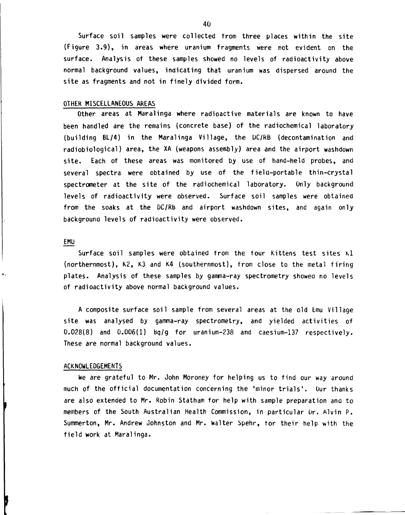**Surface soil samples were collected from three places within the site (Figure 3.9), in areas where uranium fragments were not evident on the surface. Analysis of these samples showed no levels of radioactivity above normal background values, indicating that uranium was dispersed around the site as fragments and not in finely divided form.** 

#### **OTHER MISCELLANEOUS AREAS**

**Other areas at Maralinga where radioactive materials are known to have been handled are the remains (concrete base) of the radiochemical laboratory (building BL/4) in the Maralinga Village, the UC/RB (decontamination and radiobiological) area, the XA (weapons assembly) area and the airport washdown site. Each of these areas was monitored by use of hand-held probes, and several spectra were obtained by use of the field-portable thin-crystal spectrometer at the site of the radiochemical laboratory. Only background levels of radioactivity were observed. Surface soil samples were obtained from the soaks at the DC/Rb and airport washdown sites, and again only background levels of radioactivity were observed.** 

#### **EMU**

**Surface soil samples were obtained from the tour Kittens test sites K.1 (northernmost), K2, K3 and K4 (southernmost), from close to the metal firing plates. Analysis of these samples by gamma-ray spectrometry showed no levels of radioactivity above normal background values.** 

**A composite surface soil sample from several areas at the old Emu Village site was analysed by gamma-ray spectrometry, and yielded activities of 0.028(8) and 0.006(1) bq/g for uranium-238 and caesium-137 respectively. These are normal background values.** 

#### **ACKNOWLEDGEMENTS**

**we are grateful to Mr. John Moroney for helping us to find our way around much of the official documentation concerning the 'minor trials'. Our thanks are also extended to Mr. Robin Statham for help with sample preparation and to**  members of the South Australian Health Commission, in particular Dr. Alvin P. **Summerton, Mr. Andrew Johnston and Mr. Walter Spehr, tor their help with the field work at Maralinga.**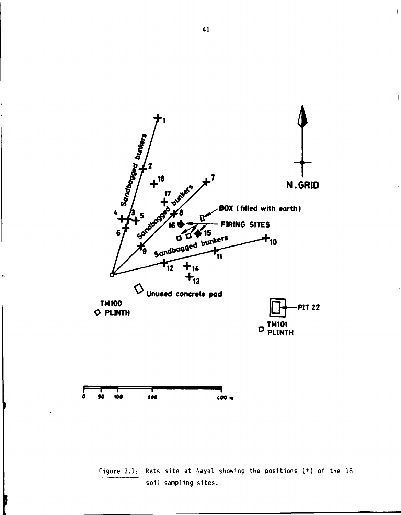



v,

**Figure 3.1: Kats site at Nayal showing the positions ( + ) of the 18 soil sampling sites.** 

 $\overline{1}$ 

 $\overline{1}$ 

 $\overline{1}$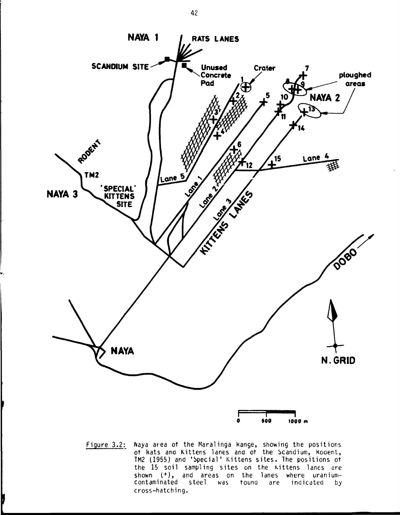

Figure 3.2: Naya area of the Maralinga Kange, showing the positions of kats ana Kittens lanes and of the bcandium, kodent, TM2 (1955) and 'Special' Kittens sites. The positions of the 15 soil sampling sites on the Kittens lanes are shown  $(+)$ , and areas on the lanes where uranium-<br>contaminated steel was tound are indicated by contaminated steel was found are indicated by cross-hatching.

b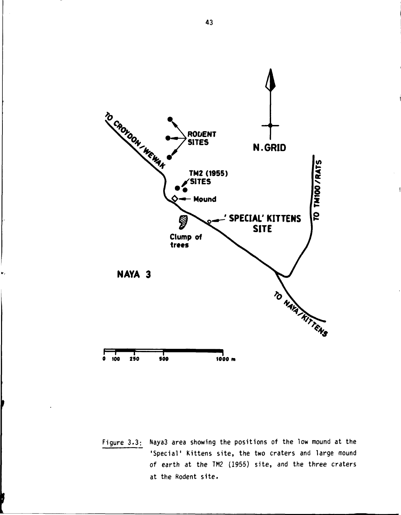

**Figure 3.3: Naya3 area showing the positions of the low mound at the 'Special' Kittens site, the two craters and large mound of earth at the TM2 (1955) site, and the three craters at the Rodent site.**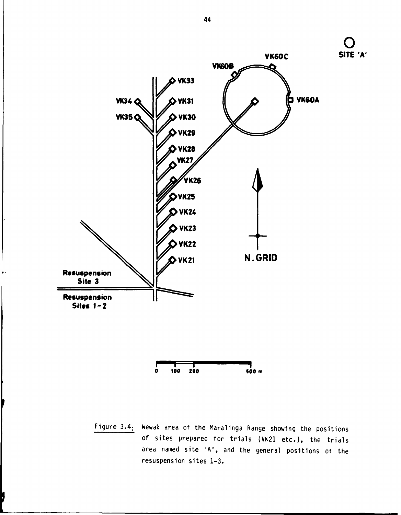

**100 200 900 m**  $\bullet$ 

Figure 3.4: Wewak area of the Maralinga Range showing the positions of sites prepared for trials (VK21 etc.), the trials area named site 'A', and the general positions ot the resuspension sites 1-3.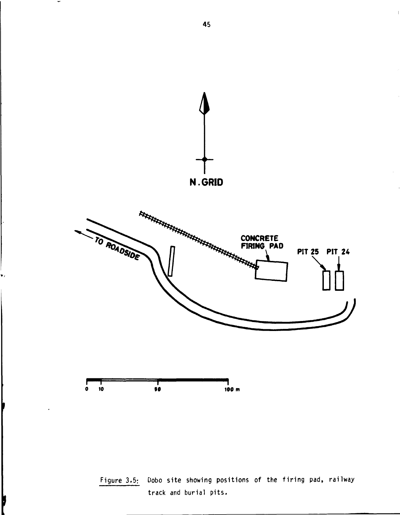

**Figure 3.5: Dobo site showing positions of the firing pad, railway track and burial pits.** 

Ď

 $\overline{\phantom{a}}$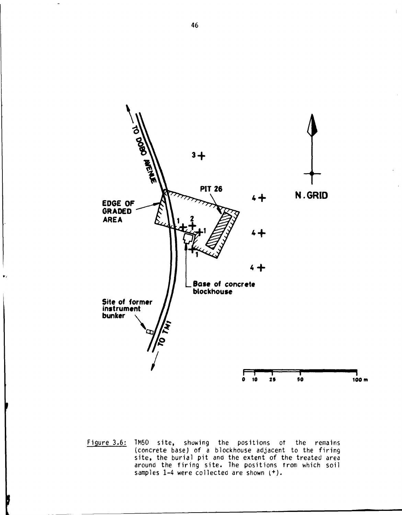

Figure 3.6: TM50 site, showing the positions ot the remains (concrete base) of a blockhouse adjacent to the firing site, the burial pit and the extent of the treated area around the firing site. The positions trom which soil samples  $1-4$  were collected are shown  $(+)$ .

 $\mathbf{I}$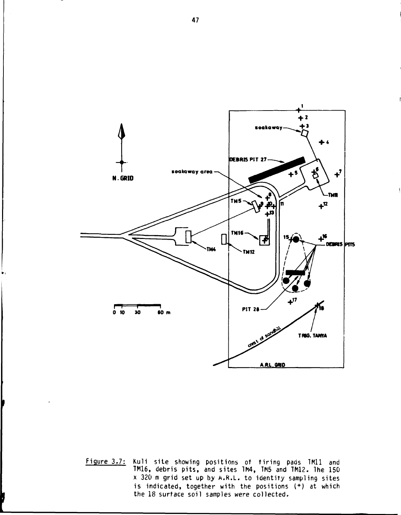

**Figure 3.7: Kuli site showing positions of tiring pads 1M11 and TM16, debris pits, and sites 1M4, TM5 and TM12. The 150 x 320 m grid set up by A.R.L. to identity sampling sites is indicated, together with the positions ( + ) at which the 18 surface soil samples were collected.**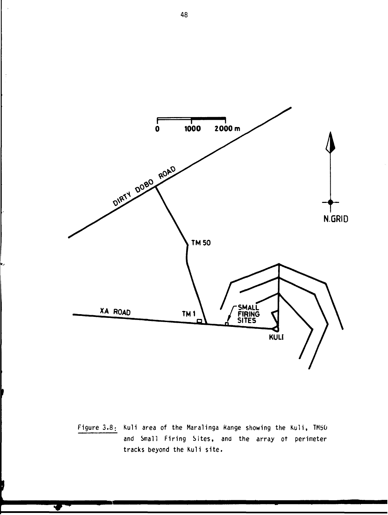

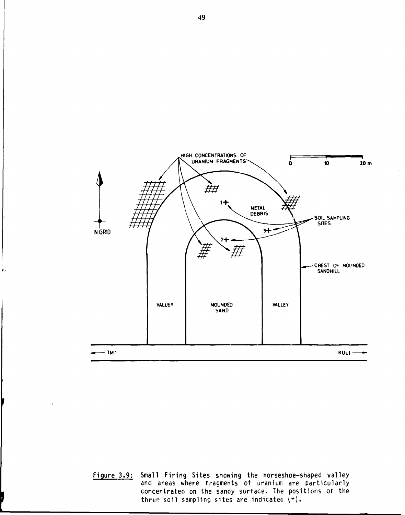

 $\mathbf{r}$ 

**Figure 3.9: Small Firing Sites showing the horseshoe-shaped valley and areas where tragments ot uranium are particularly concentrated on the sandy surface. The positions ot the three soil sampling sites are indicated (<sup>+</sup> ).**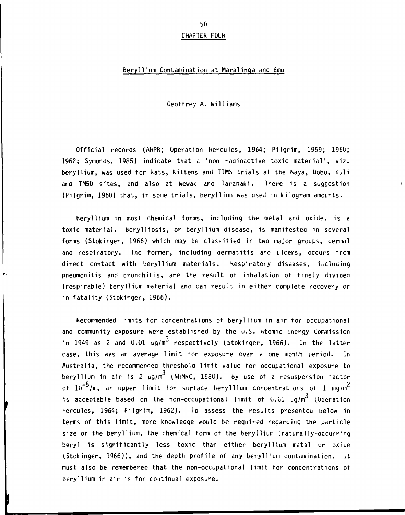#### **CHAPTER FQuk**

#### **Beryllium Contamination at Maralinga and Emu**

**Geottrey A. Williams** 

**Official records (AHPR; Operation Hercules, 1964; Pilgrim, 1959; 1960; 1962; Symonds, 1985) indicate that a 'non radioactive toxic material', viz. beryllium, was used for Rats, Kittens and TIMS trials at the Naya, Uobo, Kuli and TM50 sites, and also at kewak ana Taranaki. There is a suggestion (Pilgrim, 1960) that, in some trials, beryllium was used in kilogram amounts.** 

**beryllium in most chemical forms, including the metal and oxide, is a toxic material, berylliosis, or beryllium disease, is manifested in several forms (Stokinger, 1966) which may be classified in two major groups, dermal and respiratory. The former, including dermatitis and ulcers, occurs from direct contact with beryllium materials. Respiratory diseases, including pneumonitis and bronchitis, are the result of inhalation of finely divided (respirable) beryllium material and can result in either complete recovery or in fatality (Stokinger, 1966).** 

**Recommended limits for concentrations of beryllium in air for occupational and community exposure were established by the U.S. Atomic Energy Commission 3 in 1949 as 2 and 0.01 ug/m respectively (Stokinger, 1966). In the latter case, this was an average limit tor exposure over a one month period. In Australia, the recommended threshold limit value tor occupational exposure to 3 beryllium in air is 2 pg/m (NhMkC, 1980). by use of a resuspension factor**   $-5/m$  an upper limit for surtage benyllium concentrations of  $1 - mc/m^2$ **of 10 /m, an upper limit for surface beryllium concentrations of 1 mg/m 3 is acceptable based on the non-occupational limit of 0.01 pg/m (Operation Hercules, 1964; Pilgrim, 1962). To assess the results presenteu below in terms of this limit, more knowledge would be required regarding the particle size of the beryllium, the chemical form of the beryllium (naturally-occurring beryl is significantly less toxic than either beryllium metal or oxide (Stokinger, 1966)), and the depth profile of any beryllium contamination, it must also be remembered that the non-occupational limit tor concentrations of beryllium in air is for coitinual exposure.**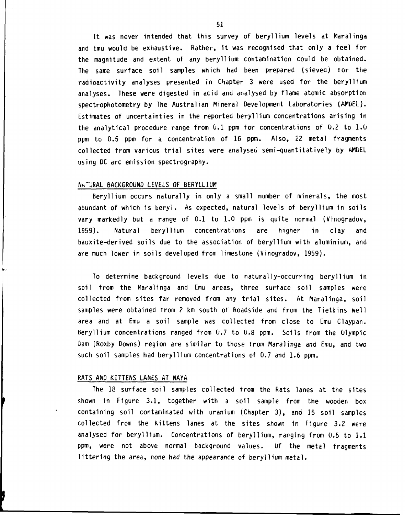**It was never intended that this survey of beryllium levels at Maralinga and Emu would be exhaustive. Rather, it was recognised that only a feel for the magnitude and extent of any beryllium contamination could be obtained. The same surface soil samples which had been prepared (sieved) for the radioactivity analyses presented in Chapter 3 were used for the beryllium analyses. These were digested in acid and analysed by flame atomic absorption spectrophotometry by The Australian Mineral Development Laboratories (AMuEL). Estimates of uncertainties in the reported beryllium concentrations arising in the analytical procedure range from 0.1 ppm for concentrations of 0.2 to 1.0 ppm to 0.5 ppm for a concentration of 16 ppm. Also, 22 metal fragments collected from various trial sites were analyseo semi-quantitatively by AMDEL using DC arc emission spectrography.** 

#### **NM"JRAL BACKGROUND LEVELS OF BERYLLIUM**

**Beryllium occurs naturally in only a small number of minerals, the most abundant of which is beryl. As expected, natural levels of beryllium in soils vary markedly but a range of 0.1 to 1.0 ppm is quite normal (Vinogradov, 1959). Natural beryllium concentrations are higher in clay and bauxite-derived soils due to the association of beryllium with aluminium, and are much lower in soils developed from limestone (Vinogradov, 1959).** 

**To determine background levels due to naturally-occurring beryllium in soil from the Maralinga and Emu areas, three surface soil samples were collected from sites far removed from any trial sites. At Maralinga, soil samples were obtained from 2 km south of Roadside and from the Tietkins aell area and at Emu a soil sample was collected from close to Emu Claypan. beryllium concentrations ranged from 0.7 to 0.8 ppm. Soils from the Olympic Dam (Roxby Downs) region are similar to those from Maralinga and Emu, and two such soil samples had beryllium concentrations of 0.7 and 1.6 ppm.** 

#### **RATS AND KITTENS LANES AT NAYA**

**The 18 surface soil samples collected from the Rats lanes at the sites shown in Figure 3.1, together with a soil sample from the wooden box containing soil contaminated with uranium (Chapter 3), and 15 soil samples collected from the Kittens lanes at the sites shown in Figure 3.2 were analysed for beryllium. Concentrations of beryllium, ranging from 0.5 to 1.1 ppm, were not above normal background values. Of the metal fragments littering the area, none had the appearance of beryllium metal.**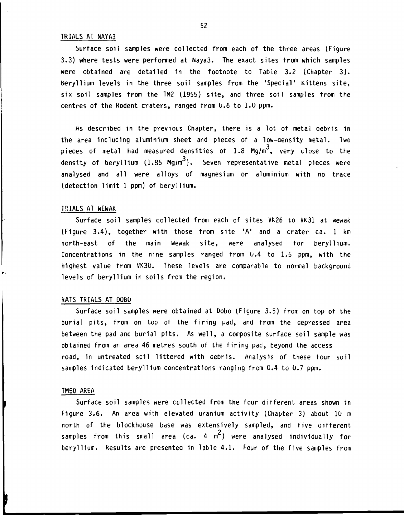#### **TRIALS AT NAYA3**

**Surface soil samples were collected from each of the three areas (Figure 3.3) where tests were performed at Naya3. The exact sites from which samples were obtained are detailed in the footnote to Table 3.2 (Chapter 3) . beryllium levels in the three soil samples from the 'Special' Kittens site, six soil samples from the TM2 (1955) site, and three soil samples from the centres of the Rodent craters, ranged from 0.6 to 1.0 ppm.** 

**As described in the previous Chapter, there is a lot of metal aebris in the area including aluminium sheet and pieces of a low-density metal. Two 3 pieces of metal had measured densities of 1.8 Mg/m ,** *\/ery* **close to the 3 density of beryllium (1.85 Mg/m ). Seven representative metal pieces were analysed and all were alloys of magnesium or aluminium with no trace (detection limit 1 ppm) of beryllium.** 

#### **TRIALS AT WEwAK**

**Surface soil samples collected from each of sites VK26 to VK31 at wewak (Figure 3.4), together with those from site 'A' and a crater ca. 1 km north-east of the main Wewak site, were analysed tor beryllium. Concentrations in the nine samples ranged from 0.4 to 1.5 ppm, with the**  highest value from VK30. These levels are comparable to normal background **levels of beryllium in soils from the region.** 

#### **RATS TRIALS AT DOBO**

**Surface soil samples were obtained at Dobo (Figure 3.5) from on top or the burial pits, from on top of the firing pad, and from the depressed area between the pad and burial pits. As well, a composite surface soil sample was obtained from an area 46 metres south of the tiring pad, beyond the access road, in untreated soil littered with aebris. Analysis of these tour soil samples indicated beryllium concentrations ranging from 0.4 to 0.7 ppm.** 

#### **TM50 AREA**

**Surface soil samples were collected from the four different areas shown in Figure 3.6. An area with elevated uranium activity (Chapter 3) about 10 m north of the blockhouse base was extensively sampled, and five different 2 samples from this small area (ca. 4 m ) were analysed individually for beryllium. Results are presented in Table 4.1. Four of the five samples from**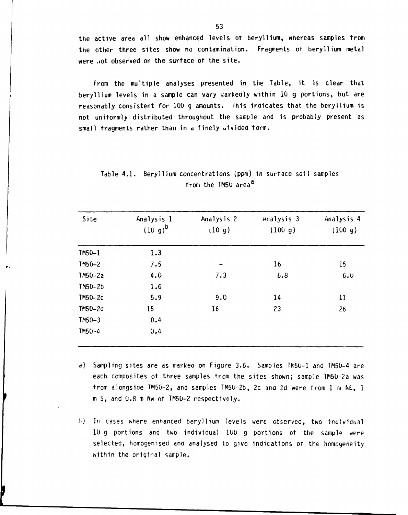the active area all show enhanced levels ot beryllium, whereas samples from the other three sites show no contamination. Fragments ot beryllium metal were .iot observed on the surface of the site.

From the multiple analyses presented in the Table, it is clear that beryllium levels in a sample can vary warkedly within 10 g portions, but are reasonably consistent for 100 g amounts. This indicates that the beryllium is not uniformly distributed throughout the sample and is probably present as small fragments rather than in a finely uivided form.

| Site      | Analysis 1<br>$(10 g)^b$ | Analysis 2<br>(10 g) | Analysis 3<br>(100 g) | Analysis 4<br>(100 g) |
|-----------|--------------------------|----------------------|-----------------------|-----------------------|
| $TM50-1$  | 1.3                      |                      |                       |                       |
| TM50-2    | 7.5                      | -                    | 16                    | 15 <sub>2</sub>       |
| $7M50-2a$ | 4.0                      | 7.3                  | 6.8                   | 6.0                   |
| $TM50-2b$ | 1.6                      |                      |                       |                       |
| $TM50-2c$ | 5.9                      | 9.0                  | 14                    | 11                    |
| TM50-2d   | 15                       | 16                   | 23                    | 26                    |
| $TM50-3$  | 0.4                      |                      |                       |                       |
| $TM50-4$  | 0.4                      |                      |                       |                       |

| Table 4.1. Beryllium concentrations (ppm) in surtace soil samples |
|-------------------------------------------------------------------|
| from the TM50 area <sup>d</sup>                                   |

- a) Sampling sites are as markea on Figure 3.6. Samples TM50-1 and TM50-4 are each composites ot three samples from the sites shown; sample lM50-2a was from alongside TM50-2, and samples TM50-2b, 2c and 2d were from 1 m NE, 1 m S, and 0.8 m Nw of TM50-2 respectively.
- b) In cases where enhanced beryllium levels were observed, two individual 10 g portions and two individual 100 g portions of the sample were selected, homogenised and analysed to give indications ot the homogeneity within the original sample.

ı,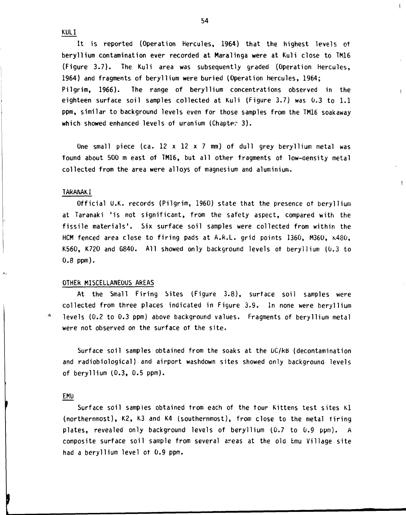**KULI** 

**It is reported (Operation Hercules, 1964) that the highest levels of beryllium contamination ever recorded at Maralinga were at Kuli close to TM16 (Figure 3.7). The Kuli area was subsequently graded (Operation Hercules, 1964) and fragments of beryllium were buried (Operation Hercules, 1964; Pilgrim, 1966). The range of beryllium concentrations observed in the eighteen surface soil samples collected at Kuli (Figure 3.7) was 0.3 to 1.1 ppm, similar to background levels even for those samples from the TM16 soakaway which showed enhanced levels of uranium (Chapter 3) .** 

**One small piece (ca. 12 x 12 x 7 mm) of dull grey beryllium metal was found about 500 m east of TM16, but all other fragments of low-aensity metal collected from the area were alloys of magnesium and aluminium.** 

#### **TARANAKl**

**Official U.K. records (Pilgrim, 1960) state that the presence of beryllium at Taranaki 'is not significant, from the safety aspect, compared with the fissile materials'. Six surface soil samples were collected from within the HCM fenced area close to firing pads at A.R.L. grid points 1360, M360, K480 , K560, K720 and G840. All showed only background levels of beryllium (0.3 to 0.8 ppm).** 

#### **OTHER MISCELLANEOUS AREAS**

**At the Small Firing Sites (Figure 3.8), surface soil samples were collected from three places indicated in Figure 3.9. In none were beryllium levels (0.2 to 0.3 ppm) above background values. Fragments of beryllium metal were not observed on the surface of the site.** 

**Surface soil samples obtained from the soaks at the DC/RB (decontamination and radiobiological) and airport washdown sites showed only background levels of beryllium (0.3, 0.5 ppm).** 

#### **EMU**

 $\epsilon$  .

**Surface soil samples obtained from each of the four Kittens test sites Kl (northernmost), K2, K3 and K4 (southernmost), from close to the metal Tiring plates, revealed only background levels of beryllium (0.7 to 0.9 ppm). A composite surface soil sample from several areas at the old Emu Village site had a beryllium level of 0.9 ppm.** 

 $\left\vert \right\vert$ 

 $\mathbf{I}$ 

 $\mathbf{I}$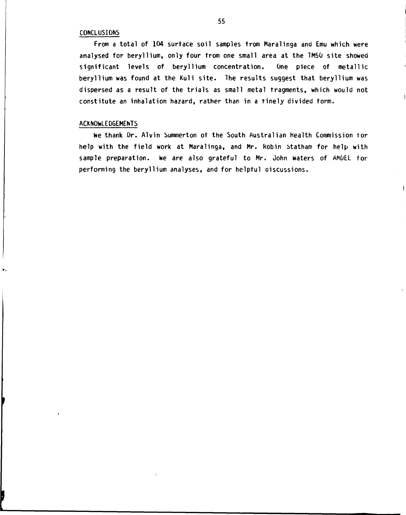#### **CONCLUSIONS**

**From a total of 104 surface soil samples from Maralinga and Emu which were analysed for beryllium, only four from one small area at the TM50 site showed significant levels of beryllium concentration. One piece of metallic beryllium was found at the Kuli site. The results suggest that beryllium was dispersed as a result of the trials as small metal fragments, which would not constitute an inhalation hazard, rather than in a finely divided form.** 

#### **ACKNOWLEDGEMENTS**

**We thank Dr. Alvin Summerton of the South Australian Health Commission tor help with the field work at Maralinga, and Mr. kobin Statham for help with sample preparation. We are also grateful to Mr. John waters of AMDEL for performing the beryllium analyses, and for helpful discussions.** 

 $\overline{\phantom{a}}$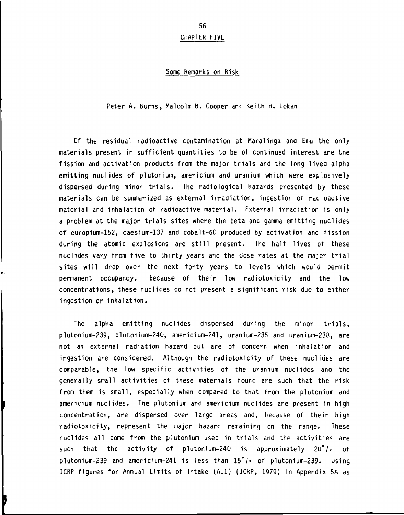## **CHAPTER FIVE**

#### **Some Remarks on Risk**

**Peter A. Burns, Malcolm B. Cooper and Keith h. Lokan** 

**Of the residual radioactive contamination at Maralinga and Emu the only materials present in sufficient quantities to be of continued interest are the fission and activation products from the major trials and the long lived alpha emitting nuclides of plutonium, americium and uranium which were explosively dispersed during minor trials. The radiological hazards presented by these materials can be summarized as external irradiation, ingestion of radioactive material and inhalation of radioactive material. External irradiation is only a problem at the major trials sites where the beta ana gamma emitting nuclides of europium-152, caesium-137 and cobalt-60 produced by activation and fission during the atomic explosions are still present. The halt lives of these nuclides vary from five to thirty years and the dose rates at the major trial sites will drop over the next forty years to levels which woula permit permanent occupancy. Because of their low radiotoxicity and the low concentrations, these nuclides do not present a significant risk due to either ingestion or inhalation.** 

**The alpha emitting nuclides dispersed during the minor trials, plutonium-239, plutonium-240, americium-241, uranium-235 and uranium-238, are not an external radiation hazard but are of concern when inhalation and ingestion are considered. Although the radiotoxicity of these nuclides are comparable, the low specific activities of the uranium nuclides and the generally small activities of these materials found are such that the risk from them is small, especially when compared to that from the plutonium and americium nuclides. The plutonium and americium nuclides are present in high concentration, are dispersed over large areas and, because of their high radiotoxicity, represent the major hazard remaining on the range. These nuclides all come from the plutonium used in trials and the activities are such that the activity of plutonium-240 is approximately 20°/° of plutonium-239 and americium-241 is less than 15\*/° of plutonium-239. using ICRP figures for Annual Limits of Intake (AL1) (ICkP, 1979) in Appendix 5A as**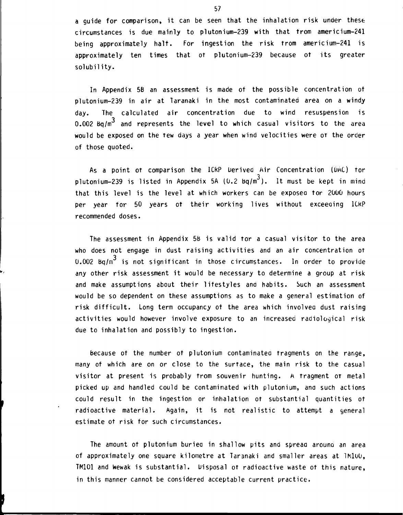**a guide for comparison, it can be seen that the inhalation risk under these circumstances is due mainly to plutonium-239 with that from americium-241 being approximately halt. For ingestion the risk from americium-241 is approximately ten times that ot plutonium-239 because ot its greater solubility.** 

**In Appendix 5B an assessment is made of the possible concentration ot plutonium-239 in air at Taranaki in the most contaminated area on a windy day. The calculated air concentration due to wind resuspension is**  0.002 Bq/m<sup>3</sup> and represents the level to which casual visitors to the area **would be exposed on the few days a year when wind velocities were OT the order of those quoted.** 

As a point ot comparison the ICRP Derived Air Concentration (DAC) for **3 plutonium-239 is listed in Appendix 5A (0.2 bq/m ). It must be kept in mind that this level is the level at which workers can be exposea tor 2000 hours per year for 50 years ot their working lives without exceeaing lCkP recommended doses.** 

**The assessment in Appendix 5b is valid tor a casual visitor to the area who does not engage in dust raising activities and an air concentration of 3 0.002 bq/m is not significant in those circumstances. In order to provide any other risk assessment it would be necessary to determine a group at risk and make assumptions about their lifestyles and habits. Such an assessment would be so dependent on these assumptions as to make a general estimation of risk difficult. Long term occupancy ot the area which involvea dust raising activities would however involve exposure to an increased radiological risk due to inhalation and possibly to ingestion.** 

**because ot the number ot plutonium contaminatea fragments on the range, many of which are on or close to the surface, the main risk to the casual visitor at present is probably from souvenir hunting. A fragment of metal picked up and handled could be contaminated with plutonium, ana such actions could result in the ingestion or inhalation ot substantial quantities ot radioactive material. Again, it is not realistic to attempt a general estimate ot risk for such circumstances.** 

**The amount ot plutonium buriea in shallow pits and spreaa arouna an area of approximately one square kilometre at Taranaki and smaller areas at IMluO, TM101 and wewak is substantial. Disposal of radioactive waste of this nature, in this manner cannot be considered acceptable current practice.**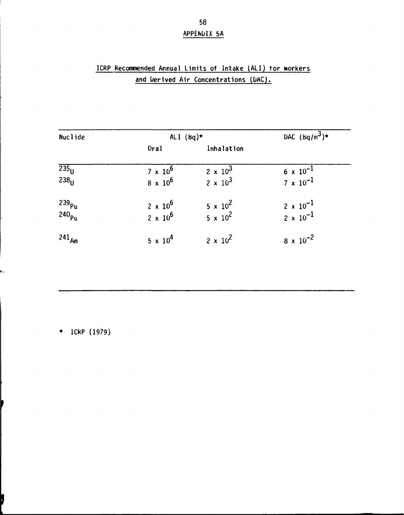# **APPENDIX 5A**

# **ICRP Recommended Annual Limits of Intake (ALI) tor workers and Uerived Air Concentrations (bAC).**

| <b>Nuclide</b>                         | ALI $(bq)$ *      | DAC $(\frac{bq}{m^3})$ * |                                             |
|----------------------------------------|-------------------|--------------------------|---------------------------------------------|
|                                        | Oral              | Inhalation               |                                             |
| $\overline{235}_{\text{U}}$            | $7 \times 10^6$   | $2 \times 10^3$          | $6 \times 10^{-1}$                          |
| 238 <sub>H</sub>                       | $8 \times 10^{6}$ | $2 \times 10^3$          | $7 \times 10^{-1}$                          |
|                                        | $2 \times 10^6$   | $5 \times 10^{2}$        |                                             |
| 239 <sub>pu</sub><br>240 <sub>pu</sub> | $2 \times 10^6$   | $5 \times 10^2$          | $\frac{2 \times 10^{-1}}{2 \times 10^{-1}}$ |
| $241_{Am}$                             | $5 \times 10^{4}$ | $2 \times 10^{2}$        | $8 \times 10^{-2}$                          |

\* ICRP (1979)

e,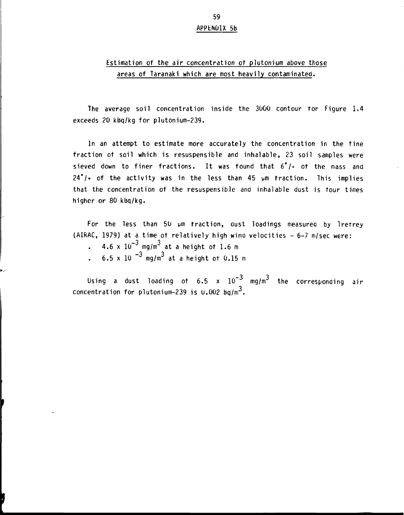# **APPENDIX 5b**

## **Estimation of the air concentration ot plutonium above those areas of Taranaki which are most heavily contaminated.**

**The average soil concentration inside the 3000 contour tor Figure 1.4 exceeds 20 kbq/kg for plutonium-239.** 

**In an attempt to estimate more accurately the concentration in the fine fraction of soil which is resuspensible and inhalable, 23 soil samples were sieved down to finer fractions. It was found that 6°/» ot the mass and 24\*/o of the activity was in the less than 45 pm traction. This implies that the concentration ot the resuspensible and inhalable dust is tour times higher or 80 kbq/kg.** 

**For the less than 50 pm traction, oust loadings measurea by Iretrey (AIRAC, 1979) at a time ot relatively high wino velocities - 6-7 m/sec were:** 

- $4.6 \times 10^{-3}$  mg/m<sup>3</sup> at a height of 1.6 m  $\mathbf{r}$
- $6.5 \times 10^{-3}$  mg/m<sup>3</sup> at a height of 0.15 m

Using a dust loading of  $6.5 \times 10^{-3}$  mg/m<sup>3</sup> the corresponding air २ । **concentration for plutonium-239 is 0.002 bq/m .**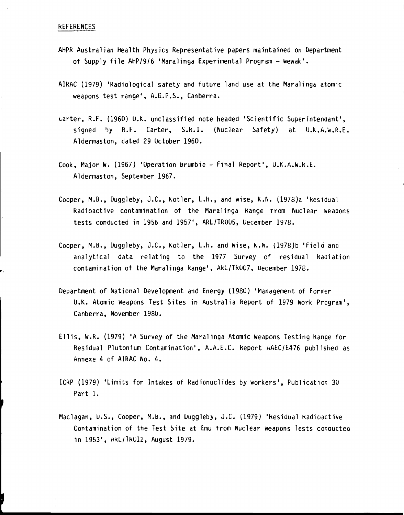#### **REFERENCES**

- **AHPR Australian Health Physics Representative papers maintained on Department of Supply file AHP/9/6 'Maralinga Experimental Program - Wewak'.**
- **AIRAC (1979) 'Radiological safety and future land use at the Maralinga atomic weapons test range', A.6.P.S., Canberra.**
- **tarter, R.F. (1960) U.K. unclassified note headed 'Scientific Superintendant', signed by R.F. Carter, S.R.I. (Nuclear Safety) at U.K.A.W.k.E. Aldermaston, dated 29 October 1960.**
- **Cook, Major W. (1967) 'Operation brumbie Final Report', U.K.A.W.R.E. Aldermaston, September 1967.**
- **Cooper, M.B., Duggleby, J.C., Kotler, L.H., and wise, K.N. (1978)a 'kesidual Radioactive contamination of the Maralinga Range from Nuclear weapons tests conducted in 1956 and 1957', ARL/TR005, Uecember 1978.**
- **Cooper, M.B., Duggleby, J.C., Kotler, L.h. and wise, K.N. (1978)b 'Field ana analytical data relating to the 1977 Survey of residual Radiation contamination of the Maralinga Range', ARL/TR007, Uecember 1978.**
- **Department of National Development and Energy (1980) 'Management of Former U.K. Atomic Weapons Test Sites in Australia keport of 1979 Work Program', Canberra, November 1980.**
- **Ellis, W.R. (1979) 'A Survey of the Maralinga Atomic Weapons Testing Range for Residual Plutonium Contamination', A.A.E.C. Report AAEC/E476 published as Annexe 4 of AIRAC No. 4.**
- **1CRP (1979) 'Limits for Intakes of Radionuclides by Workers', Publication 30 Part 1.**
- **Maclagan, U.S., Cooper, M.b., and Duggleby, J.C. (1979) 'Residual kadioactive Contamination of the Test Site at Emu from Nuclear weapons lests conauctec in 1953', ARL/TR012, August 1979.**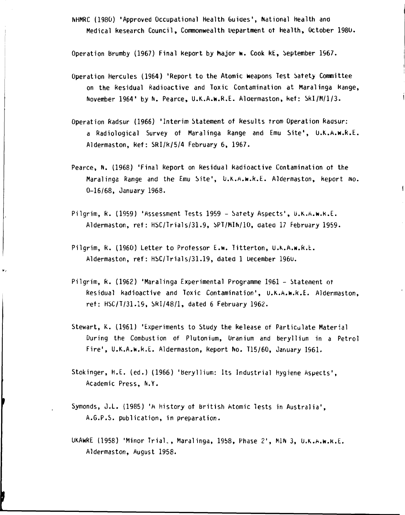**NHMRC (1980) 'Approved Occupational Health Guides', National health ana Medical Research Council, Commonwealth Department ot health, October 1980.** 

**Operation brumby (1967) Final Report by Major w. Cook RE, September 1967.** 

- **Operation Hercules (1964) 'Report to the Atomic weapons Test Safety Committee on the Residual Radioactive and Toxic Contamination at Maralinga kange, November 1964' by N. Pearce, U.K.A.w.R.E. Alaermaston, kef: Skl/M/1/3.**
- **Operation Radsur (1966) 'Interim Statement of Results from Operation Raasur: a Radiological Survey ot Maralinga Range and Emu Site', U.K.A.w.R.E. Aldermaston, kef: SRI/R/5/4 February 6, 1967.**
- **Pearce, N. (1968) 'Final Report on Residual Radioactive Contamination ot the Maralinga Range and the Emu Site', U.K.A.w.k.E. Aldermaston, keport wo. 0-16/68, January 1968.**

 $\mathbf{I}$ 

- **Pilgrim, R. (1959) 'Assessment Tests 1959 Safety Aspects', U.K.A.w.k.E. Aldermaston, ref: HSC/Trials/31.9, SPT/MIN/10, aatea 17 February 1959.**
- **Pilgrim, R. (1960) Letter to Professor E.w. Titterton, U.K.A.w.R.L. Aldermaston, ret": HSC/Trials/31.19, dated 1 uecember 196U.**
- **Pilgrim, R. (1962) 'Maralinga Experimental Programme 1961 Statement ot Residual Radioactive and Toxic Contamination', U.K.A.w.R.E. Aldermaston, ret: HSC/T/31.19, SRI/48/1, dated 6 February 1962.**
- **Stewart, K. (1961) 'Experiments to Study the Release of Particulate Material During the Combustion of Plutonium, Uranium and beryllium in a Petrol Fire', U.K.A.W.R.E. Aldermaston, Report No. T15/60, January 1961.**
- **Stokinger, H.E. (ed.) (1966) 'beryllium: Its Industrial Hygiene Aspects', Academic Press, N.Y.**
- **Symonds, J.L. (1985) 'A history ot british Atomic Tests in Australia', A.G.P.S. publication, in preparation.**

**[** 

**UKAWRE (1958) 'Minor Trial., Maralinga, 1958, Phase 2', M1N 3, U.K.A.W.K.E . Aldermaston, August 1958.**